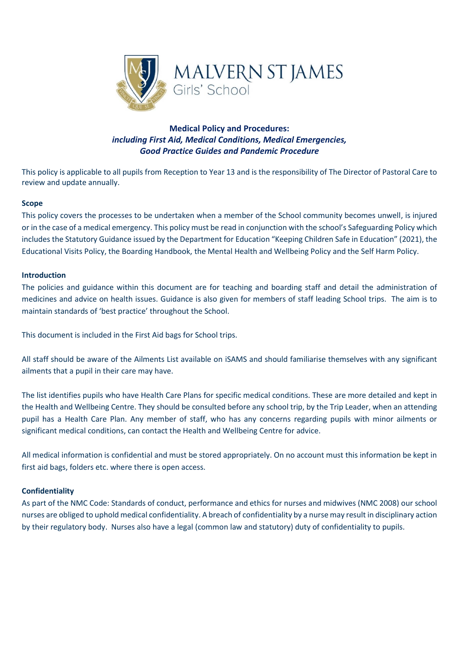

## **Medical Policy and Procedures:** *including First Aid, Medical Conditions, Medical Emergencies, Good Practice Guides and Pandemic Procedure*

This policy is applicable to all pupils from Reception to Year 13 and is the responsibility of The Director of Pastoral Care to review and update annually.

### **Scope**

This policy covers the processes to be undertaken when a member of the School community becomes unwell, is injured or in the case of a medical emergency. This policy must be read in conjunction with the school's Safeguarding Policy which includes the Statutory Guidance issued by the Department for Education "Keeping Children Safe in Education" (2021), the Educational Visits Policy, the Boarding Handbook, the Mental Health and Wellbeing Policy and the Self Harm Policy.

#### **Introduction**

The policies and guidance within this document are for teaching and boarding staff and detail the administration of medicines and advice on health issues. Guidance is also given for members of staff leading School trips. The aim is to maintain standards of 'best practice' throughout the School.

This document is included in the First Aid bags for School trips.

All staff should be aware of the Ailments List available on iSAMS and should familiarise themselves with any significant ailments that a pupil in their care may have.

The list identifies pupils who have Health Care Plans for specific medical conditions. These are more detailed and kept in the Health and Wellbeing Centre. They should be consulted before any school trip, by the Trip Leader, when an attending pupil has a Health Care Plan. Any member of staff, who has any concerns regarding pupils with minor ailments or significant medical conditions, can contact the Health and Wellbeing Centre for advice.

All medical information is confidential and must be stored appropriately. On no account must this information be kept in first aid bags, folders etc. where there is open access.

#### **Confidentiality**

As part of the NMC Code: Standards of conduct, performance and ethics for nurses and midwives (NMC 2008) our school nurses are obliged to uphold medical confidentiality. A breach of confidentiality by a nurse may result in disciplinary action by their regulatory body. Nurses also have a legal (common law and statutory) duty of confidentiality to pupils.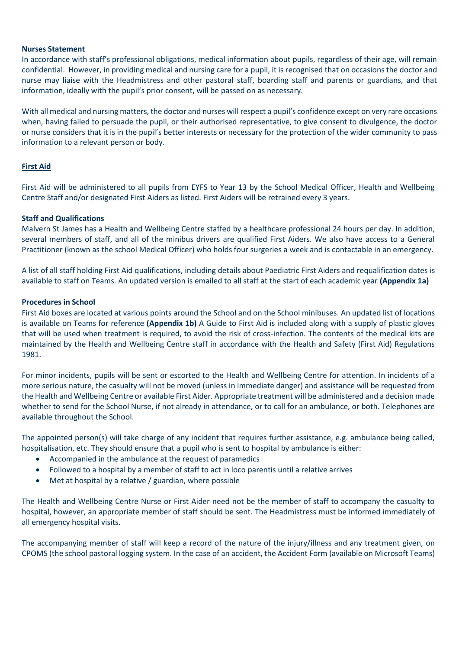#### **Nurses Statement**

In accordance with staff's professional obligations, medical information about pupils, regardless of their age, will remain confidential. However, in providing medical and nursing care for a pupil, it is recognised that on occasions the doctor and nurse may liaise with the Headmistress and other pastoral staff, boarding staff and parents or guardians, and that information, ideally with the pupil's prior consent, will be passed on as necessary.

With all medical and nursing matters, the doctor and nurses will respect a pupil's confidence except on very rare occasions when, having failed to persuade the pupil, or their authorised representative, to give consent to divulgence, the doctor or nurse considers that it is in the pupil's better interests or necessary for the protection of the wider community to pass information to a relevant person or body.

#### **First Aid**

First Aid will be administered to all pupils from EYFS to Year 13 by the School Medical Officer, Health and Wellbeing Centre Staff and/or designated First Aiders as listed. First Aiders will be retrained every 3 years.

#### **Staff and Qualifications**

Malvern St James has a Health and Wellbeing Centre staffed by a healthcare professional 24 hours per day. In addition, several members of staff, and all of the minibus drivers are qualified First Aiders. We also have access to a General Practitioner (known as the school Medical Officer) who holds four surgeries a week and is contactable in an emergency.

A list of all staff holding First Aid qualifications, including details about Paediatric First Aiders and requalification dates is available to staff on Teams. An updated version is emailed to all staff at the start of each academic year **(Appendix 1a)**

#### **Procedures in School**

First Aid boxes are located at various points around the School and on the School minibuses. An updated list of locations is available on Teams for reference **(Appendix 1b)** A Guide to First Aid is included along with a supply of plastic gloves that will be used when treatment is required, to avoid the risk of cross-infection. The contents of the medical kits are maintained by the Health and Wellbeing Centre staff in accordance with the Health and Safety (First Aid) Regulations 1981.

For minor incidents, pupils will be sent or escorted to the Health and Wellbeing Centre for attention. In incidents of a more serious nature, the casualty will not be moved (unless in immediate danger) and assistance will be requested from the Health and Wellbeing Centre or available First Aider. Appropriate treatment will be administered and a decision made whether to send for the School Nurse, if not already in attendance, or to call for an ambulance, or both. Telephones are available throughout the School.

The appointed person(s) will take charge of any incident that requires further assistance, e.g. ambulance being called, hospitalisation, etc. They should ensure that a pupil who is sent to hospital by ambulance is either:

- Accompanied in the ambulance at the request of paramedics
- Followed to a hospital by a member of staff to act in loco parentis until a relative arrives
- Met at hospital by a relative / guardian, where possible

The Health and Wellbeing Centre Nurse or First Aider need not be the member of staff to accompany the casualty to hospital, however, an appropriate member of staff should be sent. The Headmistress must be informed immediately of all emergency hospital visits.

The accompanying member of staff will keep a record of the nature of the injury/illness and any treatment given, on CPOMS (the school pastoral logging system. In the case of an accident, the Accident Form (available on Microsoft Teams)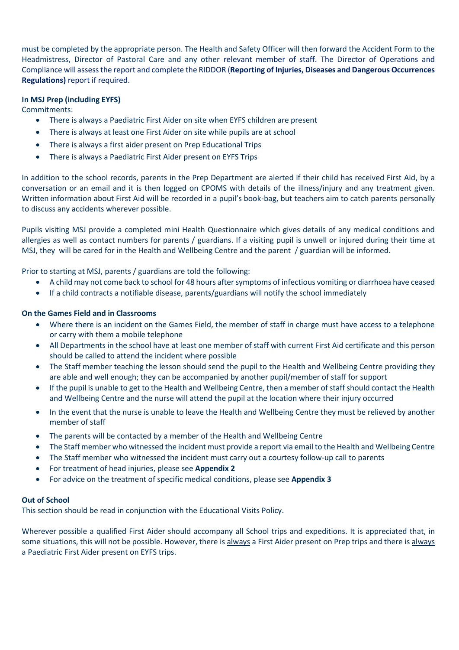must be completed by the appropriate person. The Health and Safety Officer will then forward the Accident Form to the Headmistress, Director of Pastoral Care and any other relevant member of staff. The Director of Operations and Compliance will assess the report and complete the RIDDOR (**Reporting of Injuries, Diseases and Dangerous Occurrences Regulations)** report if required.

### **In MSJ Prep (including EYFS)**

Commitments:

- There is always a Paediatric First Aider on site when EYFS children are present
- There is always at least one First Aider on site while pupils are at school
- There is always a first aider present on Prep Educational Trips
- There is always a Paediatric First Aider present on EYFS Trips

In addition to the school records, parents in the Prep Department are alerted if their child has received First Aid, by a conversation or an email and it is then logged on CPOMS with details of the illness/injury and any treatment given. Written information about First Aid will be recorded in a pupil's book-bag, but teachers aim to catch parents personally to discuss any accidents wherever possible.

Pupils visiting MSJ provide a completed mini Health Questionnaire which gives details of any medical conditions and allergies as well as contact numbers for parents / guardians. If a visiting pupil is unwell or injured during their time at MSJ, they will be cared for in the Health and Wellbeing Centre and the parent / guardian will be informed.

Prior to starting at MSJ, parents / guardians are told the following:

- A child may not come back to school for 48 hours after symptoms of infectious vomiting or diarrhoea have ceased
- If a child contracts a notifiable disease, parents/guardians will notify the school immediately

#### **On the Games Field and in Classrooms**

- Where there is an incident on the Games Field, the member of staff in charge must have access to a telephone or carry with them a mobile telephone
- All Departments in the school have at least one member of staff with current First Aid certificate and this person should be called to attend the incident where possible
- The Staff member teaching the lesson should send the pupil to the Health and Wellbeing Centre providing they are able and well enough; they can be accompanied by another pupil/member of staff for support
- If the pupil is unable to get to the Health and Wellbeing Centre, then a member of staff should contact the Health and Wellbeing Centre and the nurse will attend the pupil at the location where their injury occurred
- In the event that the nurse is unable to leave the Health and Wellbeing Centre they must be relieved by another member of staff
- The parents will be contacted by a member of the Health and Wellbeing Centre
- The Staff member who witnessed the incident must provide a report via email to the Health and Wellbeing Centre
- The Staff member who witnessed the incident must carry out a courtesy follow-up call to parents
- For treatment of head injuries, please see **Appendix 2**
- For advice on the treatment of specific medical conditions, please see **Appendix 3**

#### **Out of School**

This section should be read in conjunction with the Educational Visits Policy.

Wherever possible a qualified First Aider should accompany all School trips and expeditions. It is appreciated that, in some situations, this will not be possible. However, there is always a First Aider present on Prep trips and there is always a Paediatric First Aider present on EYFS trips.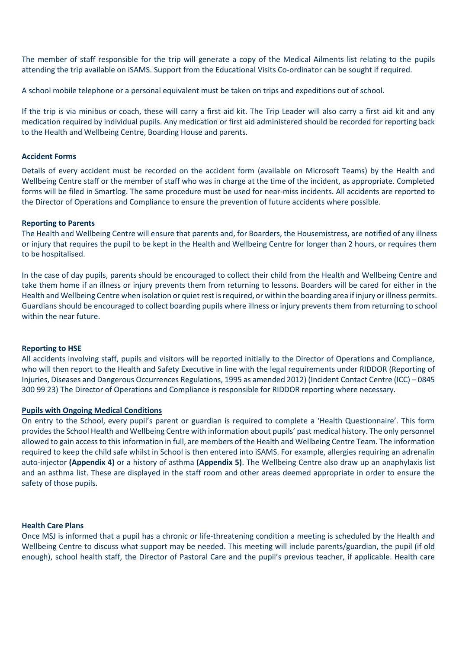The member of staff responsible for the trip will generate a copy of the Medical Ailments list relating to the pupils attending the trip available on iSAMS. Support from the Educational Visits Co-ordinator can be sought if required.

A school mobile telephone or a personal equivalent must be taken on trips and expeditions out of school.

If the trip is via minibus or coach, these will carry a first aid kit. The Trip Leader will also carry a first aid kit and any medication required by individual pupils. Any medication or first aid administered should be recorded for reporting back to the Health and Wellbeing Centre, Boarding House and parents.

#### **Accident Forms**

Details of every accident must be recorded on the accident form (available on Microsoft Teams) by the Health and Wellbeing Centre staff or the member of staff who was in charge at the time of the incident, as appropriate. Completed forms will be filed in Smartlog. The same procedure must be used for near-miss incidents. All accidents are reported to the Director of Operations and Compliance to ensure the prevention of future accidents where possible.

#### **Reporting to Parents**

The Health and Wellbeing Centre will ensure that parents and, for Boarders, the Housemistress, are notified of any illness or injury that requires the pupil to be kept in the Health and Wellbeing Centre for longer than 2 hours, or requires them to be hospitalised.

In the case of day pupils, parents should be encouraged to collect their child from the Health and Wellbeing Centre and take them home if an illness or injury prevents them from returning to lessons. Boarders will be cared for either in the Health and Wellbeing Centre when isolation or quiet rest is required, or within the boarding area if injury or illness permits. Guardians should be encouraged to collect boarding pupils where illness or injury prevents them from returning to school within the near future.

#### **Reporting to HSE**

All accidents involving staff, pupils and visitors will be reported initially to the Director of Operations and Compliance, who will then report to the Health and Safety Executive in line with the legal requirements under RIDDOR (Reporting of Injuries, Diseases and Dangerous Occurrences Regulations, 1995 as amended 2012) (Incident Contact Centre (ICC) – 0845 300 99 23) The Director of Operations and Compliance is responsible for RIDDOR reporting where necessary.

#### **Pupils with Ongoing Medical Conditions**

On entry to the School, every pupil's parent or guardian is required to complete a 'Health Questionnaire'. This form provides the School Health and Wellbeing Centre with information about pupils' past medical history. The only personnel allowed to gain access to this information in full, are members of the Health and Wellbeing Centre Team. The information required to keep the child safe whilst in School is then entered into iSAMS. For example, allergies requiring an adrenalin auto-injector **(Appendix 4)** or a history of asthma **(Appendix 5)**. The Wellbeing Centre also draw up an anaphylaxis list and an asthma list. These are displayed in the staff room and other areas deemed appropriate in order to ensure the safety of those pupils.

#### **Health Care Plans**

Once MSJ is informed that a pupil has a chronic or life-threatening condition a meeting is scheduled by the Health and Wellbeing Centre to discuss what support may be needed. This meeting will include parents/guardian, the pupil (if old enough), school health staff, the Director of Pastoral Care and the pupil's previous teacher, if applicable. Health care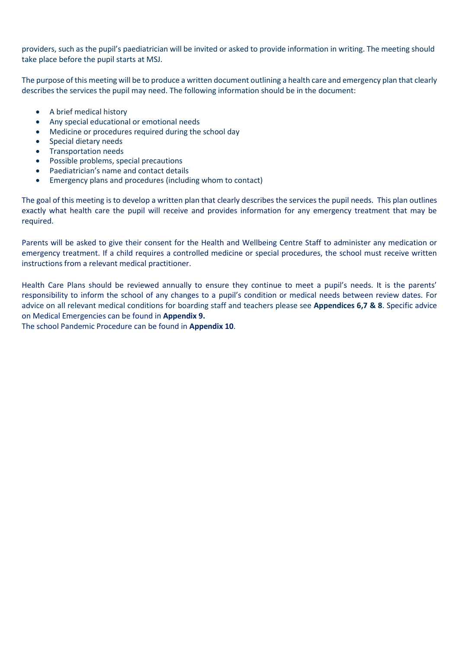providers, such as the pupil's paediatrician will be invited or asked to provide information in writing. The meeting should take place before the pupil starts at MSJ.

The purpose of this meeting will be to produce a written document outlining a health care and emergency plan that clearly describes the services the pupil may need. The following information should be in the document:

- A brief medical history
- Any special educational or emotional needs
- Medicine or procedures required during the school day
- Special dietary needs
- Transportation needs
- Possible problems, special precautions
- Paediatrician's name and contact details
- Emergency plans and procedures (including whom to contact)

The goal of this meeting is to develop a written plan that clearly describes the services the pupil needs. This plan outlines exactly what health care the pupil will receive and provides information for any emergency treatment that may be required.

Parents will be asked to give their consent for the Health and Wellbeing Centre Staff to administer any medication or emergency treatment. If a child requires a controlled medicine or special procedures, the school must receive written instructions from a relevant medical practitioner.

Health Care Plans should be reviewed annually to ensure they continue to meet a pupil's needs. It is the parents' responsibility to inform the school of any changes to a pupil's condition or medical needs between review dates. For advice on all relevant medical conditions for boarding staff and teachers please see **Appendices 6,7 & 8**. Specific advice on Medical Emergencies can be found in **Appendix 9.**

The school Pandemic Procedure can be found in **Appendix 10**.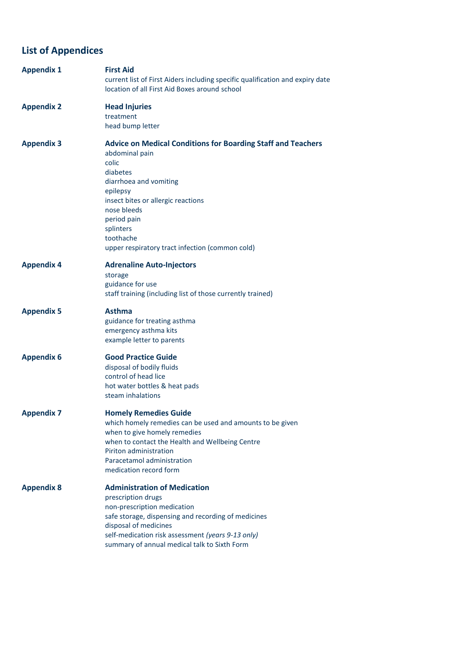# **List of Appendices**

| <b>Appendix 1</b> | <b>First Aid</b><br>current list of First Aiders including specific qualification and expiry date<br>location of all First Aid Boxes around school                                                                                                                                                |  |  |
|-------------------|---------------------------------------------------------------------------------------------------------------------------------------------------------------------------------------------------------------------------------------------------------------------------------------------------|--|--|
| <b>Appendix 2</b> | <b>Head Injuries</b><br>treatment<br>head bump letter                                                                                                                                                                                                                                             |  |  |
| <b>Appendix 3</b> | <b>Advice on Medical Conditions for Boarding Staff and Teachers</b><br>abdominal pain<br>colic<br>diabetes<br>diarrhoea and vomiting<br>epilepsy<br>insect bites or allergic reactions<br>nose bleeds<br>period pain<br>splinters<br>toothache<br>upper respiratory tract infection (common cold) |  |  |
| <b>Appendix 4</b> | <b>Adrenaline Auto-Injectors</b><br>storage<br>guidance for use<br>staff training (including list of those currently trained)                                                                                                                                                                     |  |  |
| <b>Appendix 5</b> | <b>Asthma</b><br>guidance for treating asthma<br>emergency asthma kits<br>example letter to parents                                                                                                                                                                                               |  |  |
| <b>Appendix 6</b> | <b>Good Practice Guide</b><br>disposal of bodily fluids<br>control of head lice<br>hot water bottles & heat pads<br>steam inhalations                                                                                                                                                             |  |  |
| <b>Appendix 7</b> | <b>Homely Remedies Guide</b><br>which homely remedies can be used and amounts to be given<br>when to give homely remedies<br>when to contact the Health and Wellbeing Centre<br>Piriton administration<br>Paracetamol administration<br>medication record form                                    |  |  |
| <b>Appendix 8</b> | <b>Administration of Medication</b><br>prescription drugs<br>non-prescription medication<br>safe storage, dispensing and recording of medicines<br>disposal of medicines<br>self-medication risk assessment (years 9-13 only)<br>summary of annual medical talk to Sixth Form                     |  |  |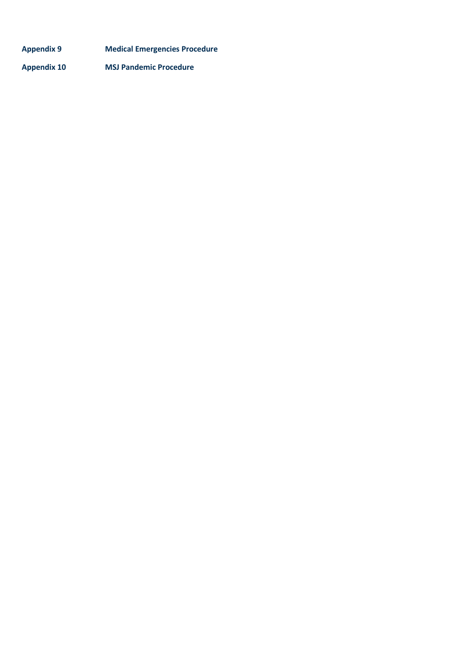| <b>Appendix 9</b>  | <b>Medical Emergencies Procedure</b> |
|--------------------|--------------------------------------|
| <b>Appendix 10</b> | <b>MSJ Pandemic Procedure</b>        |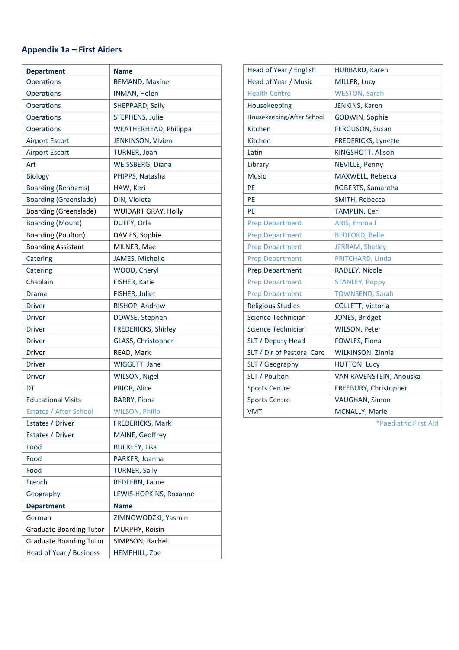## **Appendix 1a – First Aiders**

| <b>Department</b>              | <b>Name</b>                  |
|--------------------------------|------------------------------|
| Operations                     | <b>BEMAND, Maxine</b>        |
| Operations                     | <b>INMAN, Helen</b>          |
| Operations                     | SHEPPARD, Sally              |
| <b>Operations</b>              | <b>STEPHENS, Julie</b>       |
| Operations                     | <b>WEATHERHEAD, Philippa</b> |
| <b>Airport Escort</b>          | JENKINSON, Vivien            |
| <b>Airport Escort</b>          | <b>TURNER, Joan</b>          |
| Art                            | <b>WEISSBERG, Diana</b>      |
| <b>Biology</b>                 | PHIPPS, Natasha              |
| <b>Boarding (Benhams)</b>      | HAW, Keri                    |
| <b>Boarding (Greenslade)</b>   | DIN, Violeta                 |
| Boarding (Greenslade)          | <b>WUIDART GRAY, Holly</b>   |
| <b>Boarding (Mount)</b>        | DUFFY, Orla                  |
| Boarding (Poulton)             | DAVIES, Sophie               |
| <b>Boarding Assistant</b>      | MILNER, Mae                  |
| Catering                       | JAMES, Michelle              |
| Catering                       | WOOD, Cheryl                 |
| Chaplain                       | <b>FISHER, Katie</b>         |
| Drama                          | FISHER, Juliet               |
| <b>Driver</b>                  | <b>BISHOP, Andrew</b>        |
| Driver                         | DOWSE, Stephen               |
| Driver                         | <b>FREDERICKS, Shirley</b>   |
| Driver                         | GLASS, Christopher           |
| Driver                         | READ, Mark                   |
| Driver                         | WIGGETT, Jane                |
| <b>Driver</b>                  | WILSON, Nigel                |
| DT                             | PRIOR, Alice                 |
| <b>Educational Visits</b>      | <b>BARRY, Fiona</b>          |
| <b>Estates / After School</b>  | <b>WILSON, Philip</b>        |
| Estates / Driver               | <b>FREDERICKS, Mark</b>      |
| Estates / Driver               | MAINE, Geoffrey              |
| Food                           | <b>BUCKLEY, Lisa</b>         |
| Food                           | PARKER, Joanna               |
| Food                           | <b>TURNER, Sally</b>         |
| French                         | <b>REDFERN, Laure</b>        |
| Geography                      | LEWIS-HOPKINS, Roxanne       |
| <b>Department</b>              | <b>Name</b>                  |
| German                         | ZIMNOWODZKI, Yasmin          |
| <b>Graduate Boarding Tutor</b> | MURPHY, Roisin               |
| <b>Graduate Boarding Tutor</b> | SIMPSON, Rachel              |
| Head of Year / Business        | <b>HEMPHILL, Zoe</b>         |

| Head of Year / English     | HUBBARD, Karen             |
|----------------------------|----------------------------|
| Head of Year / Music       | MILLER, Lucy               |
| <b>Health Centre</b>       | <b>WESTON, Sarah</b>       |
| Housekeeping               | JENKINS, Karen             |
| Housekeeping/After School  | GODWIN, Sophie             |
| Kitchen                    | FERGUSON, Susan            |
| Kitchen                    | <b>FREDERICKS, Lynette</b> |
| Latin                      | KINGSHOTT, Alison          |
| Library                    | <b>NEVILLE, Penny</b>      |
| <b>Music</b>               | MAXWELL, Rebecca           |
| PE                         | ROBERTS, Samantha          |
| PF                         | SMITH, Rebecca             |
| PF                         | TAMPLIN, Ceri              |
| <b>Prep Department</b>     | ARIS, Emma J               |
| <b>Prep Department</b>     | <b>BEDFORD, Belle</b>      |
| <b>Prep Department</b>     | <b>JERRAM, Shelley</b>     |
| <b>Prep Department</b>     | PRITCHARD, Linda           |
| <b>Prep Department</b>     | RADLEY, Nicole             |
| <b>Prep Department</b>     | <b>STANLEY, Poppy</b>      |
| <b>Prep Department</b>     | <b>TOWNSEND, Sarah</b>     |
| <b>Religious Studies</b>   | COLLETT, Victoria          |
| Science Technician         | JONES, Bridget             |
| Science Technician         | <b>WILSON, Peter</b>       |
| SLT / Deputy Head          | <b>FOWLES, Fiona</b>       |
| SLT / Dir of Pastoral Care | WILKINSON, Zinnia          |
| SLT / Geography            | <b>HUTTON, Lucy</b>        |
| SLT / Poulton              | VAN RAVENSTEIN, Anouska    |
| <b>Sports Centre</b>       | FREEBURY, Christopher      |
| <b>Sports Centre</b>       | VAUGHAN, Simon             |
| <b>VMT</b>                 | <b>MCNALLY, Marie</b>      |

\*Paediatric First Aid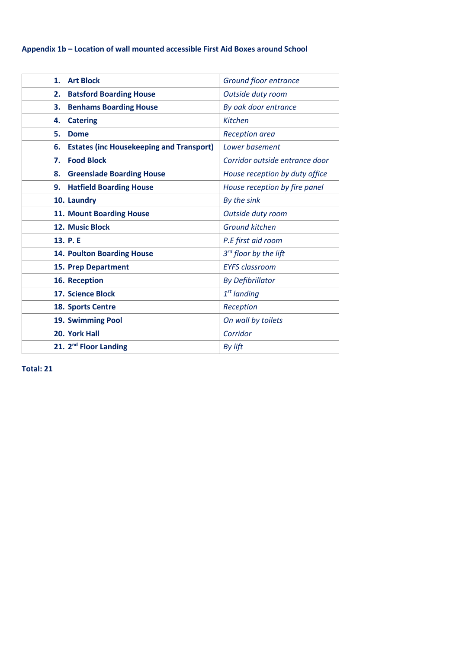## **Appendix 1b – Location of wall mounted accessible First Aid Boxes around School**

| <b>Art Block</b><br>1.                                | Ground floor entrance          |
|-------------------------------------------------------|--------------------------------|
| <b>Batsford Boarding House</b><br>2.                  | Outside duty room              |
| <b>Benhams Boarding House</b><br>3.                   | By oak door entrance           |
| <b>Catering</b><br>4.                                 | <b>Kitchen</b>                 |
| 5.<br><b>Dome</b>                                     | Reception area                 |
| <b>Estates (inc Housekeeping and Transport)</b><br>6. | Lower basement                 |
| <b>Food Block</b><br>7.                               | Corridor outside entrance door |
| 8.<br><b>Greenslade Boarding House</b>                | House reception by duty office |
| <b>Hatfield Boarding House</b><br>9.                  | House reception by fire panel  |
| 10. Laundry                                           | By the sink                    |
| 11. Mount Boarding House                              | Outside duty room              |
| 12. Music Block                                       | <b>Ground kitchen</b>          |
| 13. P.E                                               | P.E first aid room             |
| <b>14. Poulton Boarding House</b>                     | 3rd floor by the lift          |
| 15. Prep Department                                   | <b>EYFS classroom</b>          |
| 16. Reception                                         | <b>By Defibrillator</b>        |
| <b>17. Science Block</b>                              | $1st$ landing                  |
| <b>18. Sports Centre</b>                              | Reception                      |
| 19. Swimming Pool                                     | On wall by toilets             |
| 20. York Hall                                         | Corridor                       |
| 21. 2 <sup>nd</sup> Floor Landing                     | By lift                        |

**Total: 21**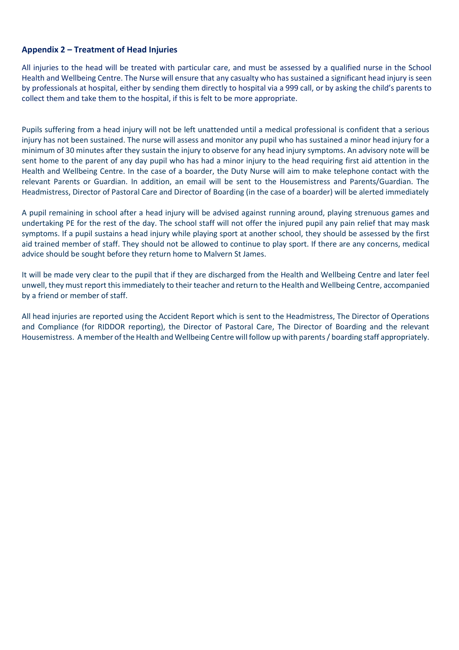### **Appendix 2 – Treatment of Head Injuries**

All injuries to the head will be treated with particular care, and must be assessed by a qualified nurse in the School Health and Wellbeing Centre. The Nurse will ensure that any casualty who has sustained a significant head injury is seen by professionals at hospital, either by sending them directly to hospital via a 999 call, or by asking the child's parents to collect them and take them to the hospital, if this is felt to be more appropriate.

Pupils suffering from a head injury will not be left unattended until a medical professional is confident that a serious injury has not been sustained. The nurse will assess and monitor any pupil who has sustained a minor head injury for a minimum of 30 minutes after they sustain the injury to observe for any head injury symptoms. An advisory note will be sent home to the parent of any day pupil who has had a minor injury to the head requiring first aid attention in the Health and Wellbeing Centre. In the case of a boarder, the Duty Nurse will aim to make telephone contact with the relevant Parents or Guardian. In addition, an email will be sent to the Housemistress and Parents/Guardian. The Headmistress, Director of Pastoral Care and Director of Boarding (in the case of a boarder) will be alerted immediately

A pupil remaining in school after a head injury will be advised against running around, playing strenuous games and undertaking PE for the rest of the day. The school staff will not offer the injured pupil any pain relief that may mask symptoms. If a pupil sustains a head injury while playing sport at another school, they should be assessed by the first aid trained member of staff. They should not be allowed to continue to play sport. If there are any concerns, medical advice should be sought before they return home to Malvern St James.

It will be made very clear to the pupil that if they are discharged from the Health and Wellbeing Centre and later feel unwell, they must report this immediately to their teacher and return to the Health and Wellbeing Centre, accompanied by a friend or member of staff.

All head injuries are reported using the Accident Report which is sent to the Headmistress, The Director of Operations and Compliance (for RIDDOR reporting), the Director of Pastoral Care, The Director of Boarding and the relevant Housemistress. A member of the Health and Wellbeing Centre will follow up with parents / boarding staff appropriately.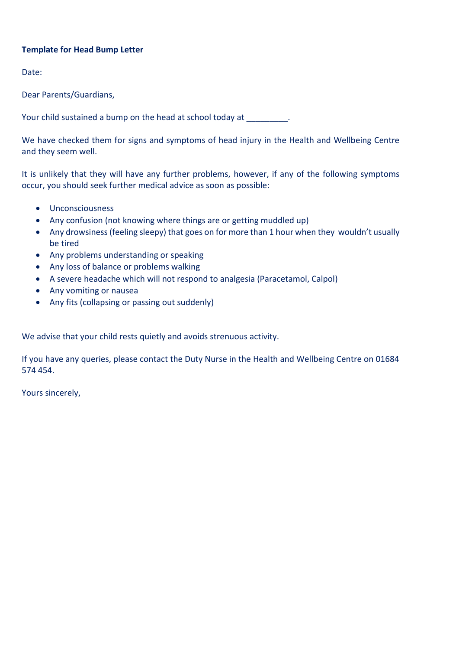## **Template for Head Bump Letter**

Date:

Dear Parents/Guardians,

Your child sustained a bump on the head at school today at  $\qquad \qquad$ .

We have checked them for signs and symptoms of head injury in the Health and Wellbeing Centre and they seem well.

It is unlikely that they will have any further problems, however, if any of the following symptoms occur, you should seek further medical advice as soon as possible:

- Unconsciousness
- Any confusion (not knowing where things are or getting muddled up)
- Any drowsiness (feeling sleepy) that goes on for more than 1 hour when they wouldn't usually be tired
- Any problems understanding or speaking
- Any loss of balance or problems walking
- A severe headache which will not respond to analgesia (Paracetamol, Calpol)
- Any vomiting or nausea
- Any fits (collapsing or passing out suddenly)

We advise that your child rests quietly and avoids strenuous activity.

If you have any queries, please contact the Duty Nurse in the Health and Wellbeing Centre on 01684 574 454.

Yours sincerely,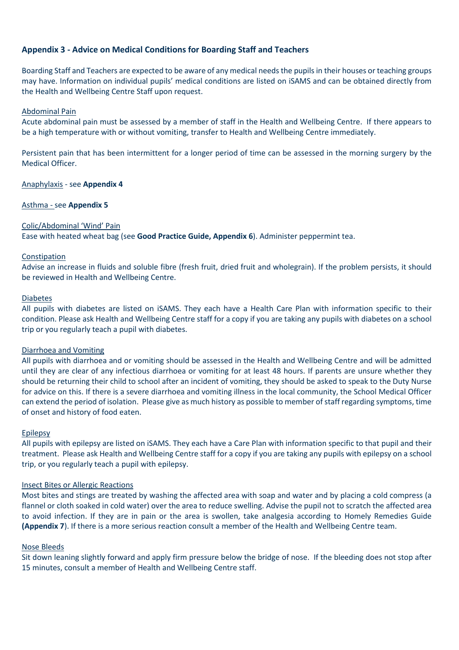### **Appendix 3 - Advice on Medical Conditions for Boarding Staff and Teachers**

Boarding Staff and Teachers are expected to be aware of any medical needs the pupilsin their houses or teaching groups may have. Information on individual pupils' medical conditions are listed on iSAMS and can be obtained directly from the Health and Wellbeing Centre Staff upon request.

#### Abdominal Pain

Acute abdominal pain must be assessed by a member of staff in the Health and Wellbeing Centre. If there appears to be a high temperature with or without vomiting, transfer to Health and Wellbeing Centre immediately.

Persistent pain that has been intermittent for a longer period of time can be assessed in the morning surgery by the Medical Officer.

#### Anaphylaxis - see **Appendix 4**

#### Asthma - see **Appendix 5**

#### Colic/Abdominal 'Wind' Pain

Ease with heated wheat bag (see **Good Practice Guide, Appendix 6**). Administer peppermint tea.

#### Constipation

Advise an increase in fluids and soluble fibre (fresh fruit, dried fruit and wholegrain). If the problem persists, it should be reviewed in Health and Wellbeing Centre.

#### **Diabetes**

All pupils with diabetes are listed on iSAMS. They each have a Health Care Plan with information specific to their condition. Please ask Health and Wellbeing Centre staff for a copy if you are taking any pupils with diabetes on a school trip or you regularly teach a pupil with diabetes.

#### Diarrhoea and Vomiting

All pupils with diarrhoea and or vomiting should be assessed in the Health and Wellbeing Centre and will be admitted until they are clear of any infectious diarrhoea or vomiting for at least 48 hours. If parents are unsure whether they should be returning their child to school after an incident of vomiting, they should be asked to speak to the Duty Nurse for advice on this. If there is a severe diarrhoea and vomiting illness in the local community, the School Medical Officer can extend the period of isolation. Please give as much history as possible to member of staff regarding symptoms, time of onset and history of food eaten.

#### Epilepsy

All pupils with epilepsy are listed on iSAMS. They each have a Care Plan with information specific to that pupil and their treatment. Please ask Health and Wellbeing Centre staff for a copy if you are taking any pupils with epilepsy on a school trip, or you regularly teach a pupil with epilepsy.

#### Insect Bites or Allergic Reactions

Most bites and stings are treated by washing the affected area with soap and water and by placing a cold compress (a flannel or cloth soaked in cold water) over the area to reduce swelling. Advise the pupil not to scratch the affected area to avoid infection. If they are in pain or the area is swollen, take analgesia according to Homely Remedies Guide **(Appendix 7**). If there is a more serious reaction consult a member of the Health and Wellbeing Centre team.

#### Nose Bleeds

Sit down leaning slightly forward and apply firm pressure below the bridge of nose. If the bleeding does not stop after 15 minutes, consult a member of Health and Wellbeing Centre staff.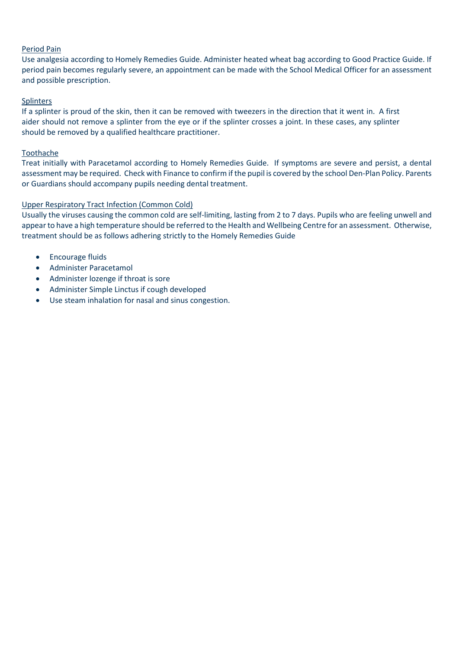#### Period Pain

Use analgesia according to Homely Remedies Guide. Administer heated wheat bag according to Good Practice Guide. If period pain becomes regularly severe, an appointment can be made with the School Medical Officer for an assessment and possible prescription.

### Splinters

If a splinter is proud of the skin, then it can be removed with tweezers in the direction that it went in. A first aider should not remove a splinter from the eye or if the splinter crosses a joint. In these cases, any splinter should be removed by a qualified healthcare practitioner.

#### Toothache

Treat initially with Paracetamol according to Homely Remedies Guide. If symptoms are severe and persist, a dental assessment may be required. Check with Finance to confirm if the pupil is covered by the school Den-Plan Policy. Parents or Guardians should accompany pupils needing dental treatment.

### Upper Respiratory Tract Infection (Common Cold)

Usually the viruses causing the common cold are self-limiting, lasting from 2 to 7 days. Pupils who are feeling unwell and appear to have a high temperature should be referred to the Health and Wellbeing Centre for an assessment. Otherwise, treatment should be as follows adhering strictly to the Homely Remedies Guide

- Encourage fluids
- Administer Paracetamol
- Administer lozenge if throat is sore
- Administer Simple Linctus if cough developed
- Use steam inhalation for nasal and sinus congestion.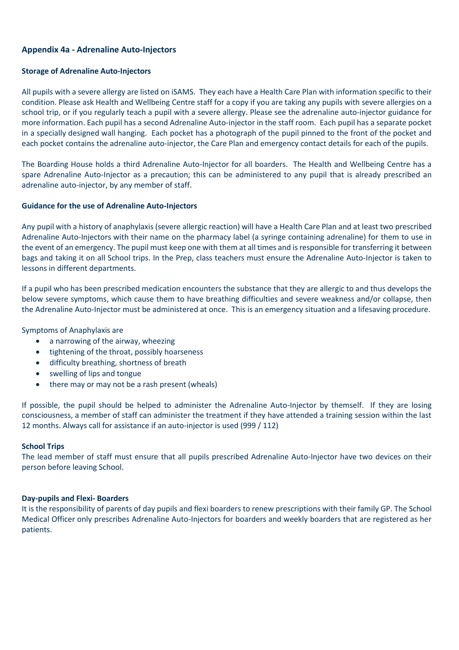### **Appendix 4a - Adrenaline Auto-Injectors**

#### **Storage of Adrenaline Auto-Injectors**

All pupils with a severe allergy are listed on iSAMS. They each have a Health Care Plan with information specific to their condition. Please ask Health and Wellbeing Centre staff for a copy if you are taking any pupils with severe allergies on a school trip, or if you regularly teach a pupil with a severe allergy. Please see the adrenaline auto-injector guidance for more information. Each pupil has a second Adrenaline Auto-injector in the staff room. Each pupil has a separate pocket in a specially designed wall hanging. Each pocket has a photograph of the pupil pinned to the front of the pocket and each pocket contains the adrenaline auto-injector, the Care Plan and emergency contact details for each of the pupils.

The Boarding House holds a third Adrenaline Auto-Injector for all boarders. The Health and Wellbeing Centre has a spare Adrenaline Auto-Injector as a precaution; this can be administered to any pupil that is already prescribed an adrenaline auto-injector, by any member of staff.

#### **Guidance for the use of Adrenaline Auto-Injectors**

Any pupil with a history of anaphylaxis (severe allergic reaction) will have a Health Care Plan and at least two prescribed Adrenaline Auto-Injectors with their name on the pharmacy label (a syringe containing adrenaline) for them to use in the event of an emergency. The pupil must keep one with them at all times and is responsible for transferring it between bags and taking it on all School trips. In the Prep, class teachers must ensure the Adrenaline Auto-Injector is taken to lessons in different departments.

If a pupil who has been prescribed medication encounters the substance that they are allergic to and thus develops the below severe symptoms, which cause them to have breathing difficulties and severe weakness and/or collapse, then the Adrenaline Auto-Injector must be administered at once. This is an emergency situation and a lifesaving procedure.

Symptoms of Anaphylaxis are

- a narrowing of the airway, wheezing
- tightening of the throat, possibly hoarseness
- difficulty breathing, shortness of breath
- swelling of lips and tongue
- there may or may not be a rash present (wheals)

If possible, the pupil should be helped to administer the Adrenaline Auto-Injector by themself. If they are losing consciousness, a member of staff can administer the treatment if they have attended a training session within the last 12 months. Always call for assistance if an auto-injector is used (999 / 112)

#### **School Trips**

The lead member of staff must ensure that all pupils prescribed Adrenaline Auto-Injector have two devices on their person before leaving School.

#### **Day-pupils and Flexi- Boarders**

It is the responsibility of parents of day pupils and flexi boarders to renew prescriptions with their family GP. The School Medical Officer only prescribes Adrenaline Auto-Injectors for boarders and weekly boarders that are registered as her patients.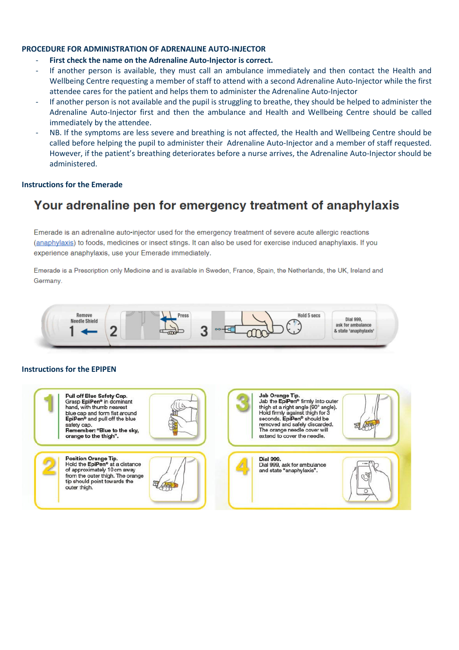#### **PROCEDURE FOR ADMINISTRATION OF ADRENALINE AUTO-INJECTOR**

- First check the name on the Adrenaline Auto-Injector is correct.
- If another person is available, they must call an ambulance immediately and then contact the Health and Wellbeing Centre requesting a member of staff to attend with a second Adrenaline Auto-Injector while the first attendee cares for the patient and helps them to administer the Adrenaline Auto-Injector
- If another person is not available and the pupil is struggling to breathe, they should be helped to administer the Adrenaline Auto-Injector first and then the ambulance and Health and Wellbeing Centre should be called immediately by the attendee.
- NB. If the symptoms are less severe and breathing is not affected, the Health and Wellbeing Centre should be called before helping the pupil to administer their Adrenaline Auto-Injector and a member of staff requested. However, if the patient's breathing deteriorates before a nurse arrives, the Adrenaline Auto-Injector should be administered.

#### **Instructions for the Emerade**

# Your adrenaline pen for emergency treatment of anaphylaxis

Emerade is an adrenaline auto-injector used for the emergency treatment of severe acute allergic reactions (anaphylaxis) to foods, medicines or insect stings, It can also be used for exercise induced anaphylaxis. If you experience anaphylaxis, use your Emerade immediately.

Emerade is a Prescription only Medicine and is available in Sweden, France, Spain, the Netherlands, the UK, Ireland and Germany.



#### **Instructions for the EPIPEN**

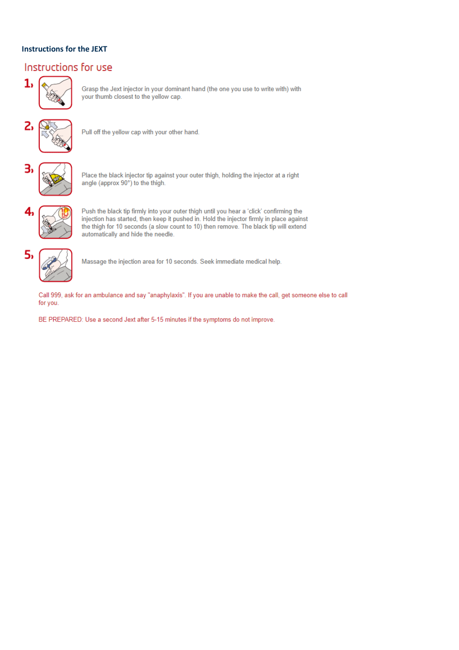### **Instructions for the JEXT**

## Instructions for use



Grasp the Jext injector in your dominant hand (the one you use to write with) with your thumb closest to the yellow cap.



Pull off the yellow cap with your other hand.



Place the black injector tip against your outer thigh, holding the injector at a right angle (approx 90°) to the thigh.



Push the black tip firmly into your outer thigh until you hear a 'click' confirming the injection has started, then keep it pushed in. Hold the injector firmly in place against the thigh for 10 seconds (a slow count to 10) then remove. The black tip will extend automatically and hide the needle.



Massage the injection area for 10 seconds. Seek immediate medical help.

Call 999, ask for an ambulance and say "anaphylaxis". If you are unable to make the call, get someone else to call for you.

BE PREPARED: Use a second Jext after 5-15 minutes if the symptoms do not improve.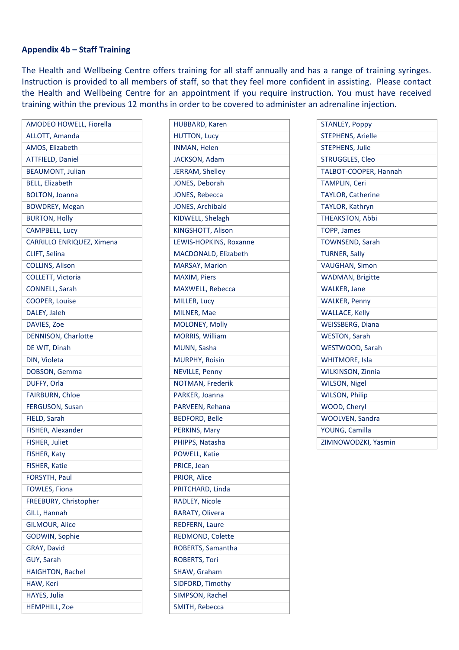### **Appendix 4b – Staff Training**

The Health and Wellbeing Centre offers training for all staff annually and has a range of training syringes. Instruction is provided to all members of staff, so that they feel more confident in assisting. Please contact the Health and Wellbeing Centre for an appointment if you require instruction. You must have received training within the previous 12 months in order to be covered to administer an adrenaline injection.

| AMODEO HOWELL, Fiorella   |
|---------------------------|
| <b>ALLOTT, Amanda</b>     |
| AMOS, Elizabeth           |
| <b>ATTFIELD, Daniel</b>   |
| <b>BEAUMONT, Julian</b>   |
| <b>BELL, Elizabeth</b>    |
| <b>BOLTON, Joanna</b>     |
| <b>BOWDREY, Megan</b>     |
| <b>BURTON, Holly</b>      |
| <b>CAMPBELL, Lucy</b>     |
| CARRILLO ENRIQUEZ, Ximena |
| CLIFT, Selina             |
| <b>COLLINS, Alison</b>    |
| COLLETT, Victoria         |
| <b>CONNELL, Sarah</b>     |
| <b>COOPER, Louise</b>     |
| DALEY, Jaleh              |
| DAVIES, Zoe               |
| DENNISON, Charlotte       |
| DE WIT, Dinah             |
| DIN, Violeta              |
| DOBSON, Gemma             |
| DUFFY, Orla               |
| <b>FAIRBURN, Chloe</b>    |
| <b>FERGUSON, Susan</b>    |
| FIELD, Sarah              |
| FISHER, Alexander         |
| FISHER, Juliet            |
| FISHER, Katy              |
| FISHER, Katie             |
| FORSYTH, Paul             |
| <b>FOWLES, Fiona</b>      |
| FREEBURY, Christopher     |
| GILL, Hannah              |
| <b>GILMOUR, Alice</b>     |
| GODWIN, Sophie            |
| GRAY, David               |
| GUY, Sarah                |
| <b>HAIGHTON, Rachel</b>   |
| HAW, Keri                 |
| <b>HAYES, Julia</b>       |
| <b>HEMPHILL, Zoe</b>      |

| <b>HUBBARD, Karen</b>  |
|------------------------|
| <b>HUTTON, Lucy</b>    |
| <b>INMAN, Helen</b>    |
| JACKSON, Adam          |
| JERRAM, Shelley        |
| JONES, Deborah         |
| JONES, Rebecca         |
| JONES, Archibald       |
| KIDWELL, Shelagh       |
| KINGSHOTT, Alison      |
| LEWIS-HOPKINS, Roxanne |
| MACDONALD, Elizabeth   |
| <b>MARSAY, Marion</b>  |
| <b>MAXIM, Piers</b>    |
| MAXWELL, Rebecca       |
| MILLER, Lucy           |
| MILNER, Mae            |
| <b>MOLONEY, Molly</b>  |
| <b>MORRIS, William</b> |
| MUNN, Sasha            |
| <b>MURPHY, Roisin</b>  |
| <b>NEVILLE, Penny</b>  |
| NOTMAN, Frederik       |
| PARKER, Joanna         |
| PARVEEN, Rehana        |
| <b>BEDFORD, Belle</b>  |
| PERKINS, Mary          |
| PHIPPS, Natasha        |
| POWELL, Katie          |
| PRICE, Jean            |
| PRIOR, Alice           |
| PRITCHARD, Linda       |
| RADLEY, Nicole         |
| RARATY, Olivera        |
| <b>REDFERN, Laure</b>  |
| REDMOND, Colette       |
| ROBERTS, Samantha      |
| ROBERTS, Tori          |
| SHAW, Graham           |
| SIDFORD, Timothy       |
| SIMPSON, Rachel        |
| SMITH, Rebecca         |

| <b>STANLEY, Poppy</b>    |
|--------------------------|
|                          |
| <b>STEPHENS, Arielle</b> |
| <b>STEPHENS, Julie</b>   |
| STRUGGLES, Cleo          |
| TALBOT-COOPER, Hannah    |
| <b>TAMPLIN, Ceri</b>     |
| <b>TAYLOR, Catherine</b> |
| TAYLOR, Kathryn          |
| <b>THEAKSTON, Abbi</b>   |
| <b>TOPP, James</b>       |
| <b>TOWNSEND, Sarah</b>   |
| <b>TURNER, Sally</b>     |
| <b>VAUGHAN, Simon</b>    |
| <b>WADMAN, Brigitte</b>  |
| <b>WALKER, Jane</b>      |
| <b>WALKER, Penny</b>     |
| <b>WALLACE, Kelly</b>    |
| <b>WEISSBERG, Diana</b>  |
| <b>WESTON, Sarah</b>     |
| WESTWOOD, Sarah          |
| <b>WHITMORE, Isla</b>    |
| <b>WILKINSON, Zinnia</b> |
| <b>WILSON, Nigel</b>     |
| <b>WILSON, Philip</b>    |
| WOOD, Cheryl             |
| WOOLVEN, Sandra          |
| YOUNG, Camilla           |
|                          |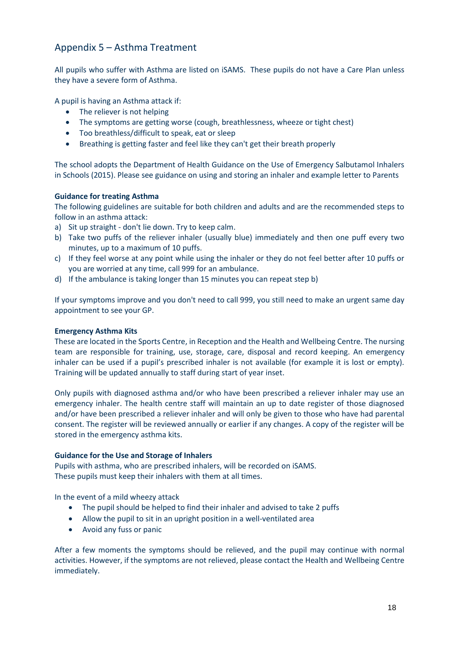## Appendix 5 – Asthma Treatment

All pupils who suffer with Asthma are listed on iSAMS. These pupils do not have a Care Plan unless they have a severe form of Asthma.

A pupil is having an Asthma attack if:

- The reliever is not helping
- The symptoms are getting worse (cough, breathlessness, wheeze or tight chest)
- Too breathless/difficult to speak, eat or sleep
- Breathing is getting faster and feel like they can't get their breath properly

The school adopts the Department of Health Guidance on the Use of Emergency Salbutamol Inhalers in Schools (2015). Please see guidance on using and storing an inhaler and example letter to Parents

#### **Guidance for treating Asthma**

The following guidelines are suitable for both children and adults and are the recommended steps to follow in an asthma attack:

- a) Sit up straight don't lie down. Try to keep calm.
- b) Take two puffs of the reliever inhaler (usually blue) immediately and then one puff every two minutes, up to a maximum of 10 puffs.
- c) If they feel worse at any point while using the inhaler or they do not feel better after 10 puffs or you are worried at any time, call 999 for an ambulance.
- d) If the ambulance is taking longer than 15 minutes you can repeat step b)

If your symptoms improve and you don't need to call 999, you still need to make an urgent same day appointment to see your GP.

#### **Emergency Asthma Kits**

These are located in the Sports Centre, in Reception and the Health and Wellbeing Centre. The nursing team are responsible for training, use, storage, care, disposal and record keeping. An emergency inhaler can be used if a pupil's prescribed inhaler is not available (for example it is lost or empty). Training will be updated annually to staff during start of year inset.

Only pupils with diagnosed asthma and/or who have been prescribed a reliever inhaler may use an emergency inhaler. The health centre staff will maintain an up to date register of those diagnosed and/or have been prescribed a reliever inhaler and will only be given to those who have had parental consent. The register will be reviewed annually or earlier if any changes. A copy of the register will be stored in the emergency asthma kits.

#### **Guidance for the Use and Storage of Inhalers**

Pupils with asthma, who are prescribed inhalers, will be recorded on iSAMS. These pupils must keep their inhalers with them at all times.

In the event of a mild wheezy attack

- The pupil should be helped to find their inhaler and advised to take 2 puffs
- Allow the pupil to sit in an upright position in a well-ventilated area
- Avoid any fuss or panic

After a few moments the symptoms should be relieved, and the pupil may continue with normal activities. However, if the symptoms are not relieved, please contact the Health and Wellbeing Centre immediately.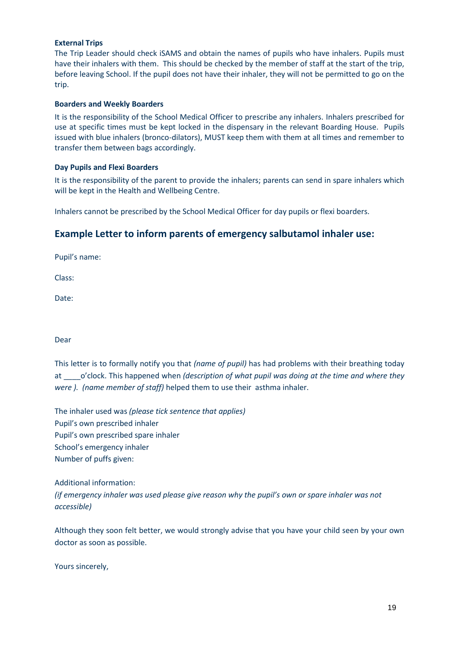#### **External Trips**

The Trip Leader should check iSAMS and obtain the names of pupils who have inhalers. Pupils must have their inhalers with them. This should be checked by the member of staff at the start of the trip, before leaving School. If the pupil does not have their inhaler, they will not be permitted to go on the trip.

#### **Boarders and Weekly Boarders**

It is the responsibility of the School Medical Officer to prescribe any inhalers. Inhalers prescribed for use at specific times must be kept locked in the dispensary in the relevant Boarding House. Pupils issued with blue inhalers (bronco-dilators), MUST keep them with them at all times and remember to transfer them between bags accordingly.

#### **Day Pupils and Flexi Boarders**

It is the responsibility of the parent to provide the inhalers; parents can send in spare inhalers which will be kept in the Health and Wellbeing Centre.

Inhalers cannot be prescribed by the School Medical Officer for day pupils or flexi boarders.

## **Example Letter to inform parents of emergency salbutamol inhaler use:**

Pupil's name:

Class:

Date:

Dear

| This letter is to formally notify you that (name of pupil) has had problems with their breathing today |
|--------------------------------------------------------------------------------------------------------|
| at o'clock. This happened when (description of what pupil was doing at the time and where they         |
| were ). (name member of staff) helped them to use their asthma inhaler.                                |

The inhaler used was *(please tick sentence that applies)* Pupil's own prescribed inhaler Pupil's own prescribed spare inhaler School's emergency inhaler Number of puffs given:

Additional information: *(if emergency inhaler was used please give reason why the pupil's own or spare inhaler was not accessible)*

Although they soon felt better, we would strongly advise that you have your child seen by your own doctor as soon as possible.

Yours sincerely,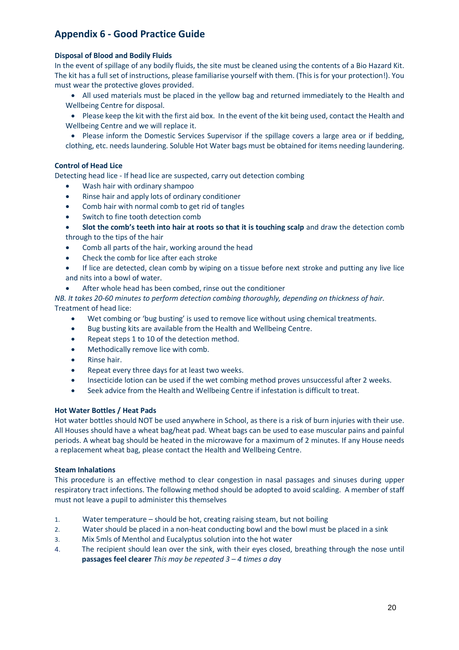## **Appendix 6 - Good Practice Guide**

#### **Disposal of Blood and Bodily Fluids**

In the event of spillage of any bodily fluids, the site must be cleaned using the contents of a Bio Hazard Kit. The kit has a full set of instructions, please familiarise yourself with them. (This is for your protection!). You must wear the protective gloves provided.

- All used materials must be placed in the yellow bag and returned immediately to the Health and Wellbeing Centre for disposal.
- Please keep the kit with the first aid box. In the event of the kit being used, contact the Health and Wellbeing Centre and we will replace it.

• Please inform the Domestic Services Supervisor if the spillage covers a large area or if bedding, clothing, etc. needs laundering. Soluble Hot Water bags must be obtained for items needing laundering.

#### **Control of Head Lice**

Detecting head lice - If head lice are suspected, carry out detection combing

- Wash hair with ordinary shampoo
- Rinse hair and apply lots of ordinary conditioner
- Comb hair with normal comb to get rid of tangles
- Switch to fine tooth detection comb
- **Slot the comb's teeth into hair at roots so that it is touching scalp** and draw the detection comb through to the tips of the hair
- Comb all parts of the hair, working around the head
- Check the comb for lice after each stroke

If lice are detected, clean comb by wiping on a tissue before next stroke and putting any live lice and nits into a bowl of water.

After whole head has been combed, rinse out the conditioner

*NB. It takes 20-60 minutes to perform detection combing thoroughly, depending on thickness of hair.* Treatment of head lice:

- Wet combing or 'bug busting' is used to remove lice without using chemical treatments.
- Bug busting kits are available from the Health and Wellbeing Centre.
- Repeat steps 1 to 10 of the detection method.
- Methodically remove lice with comb.
- Rinse hair.
- Repeat every three days for at least two weeks.
- Insecticide lotion can be used if the wet combing method proves unsuccessful after 2 weeks.
- Seek advice from the Health and Wellbeing Centre if infestation is difficult to treat.

#### **Hot Water Bottles / Heat Pads**

Hot water bottles should NOT be used anywhere in School, as there is a risk of burn injuries with their use. All Houses should have a wheat bag/heat pad. Wheat bags can be used to ease muscular pains and painful periods. A wheat bag should be heated in the microwave for a maximum of 2 minutes. If any House needs a replacement wheat bag, please contact the Health and Wellbeing Centre.

#### **Steam Inhalations**

This procedure is an effective method to clear congestion in nasal passages and sinuses during upper respiratory tract infections. The following method should be adopted to avoid scalding. A member of staff must not leave a pupil to administer this themselves

- 1. Water temperature should be hot, creating raising steam, but not boiling
- 2. Water should be placed in a non-heat conducting bowl and the bowl must be placed in a sink
- 3. Mix 5mls of Menthol and Eucalyptus solution into the hot water
- 4. The recipient should lean over the sink, with their eyes closed, breathing through the nose until **passages feel clearer** *This may be repeated 3 – 4 times a da*y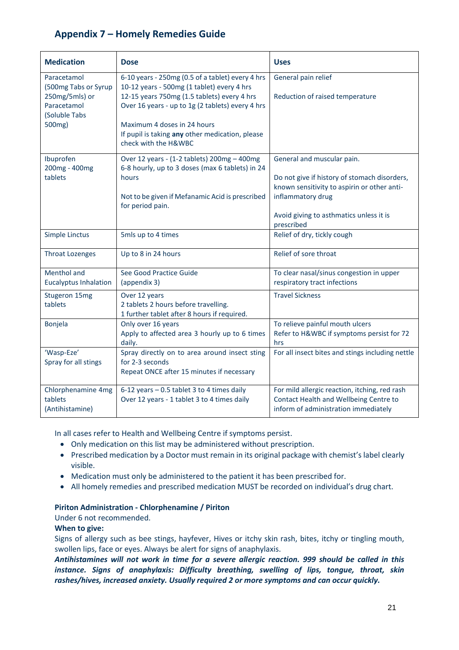## **Appendix 7 – Homely Remedies Guide**

| <b>Medication</b>                                                                               | <b>Dose</b>                                                                                                                                                                                                                                                                                                 | <b>Uses</b>                                                                                                                                                                                             |  |  |
|-------------------------------------------------------------------------------------------------|-------------------------------------------------------------------------------------------------------------------------------------------------------------------------------------------------------------------------------------------------------------------------------------------------------------|---------------------------------------------------------------------------------------------------------------------------------------------------------------------------------------------------------|--|--|
| Paracetamol<br>(500mg Tabs or Syrup<br>250mg/5mls) or<br>Paracetamol<br>(Soluble Tabs<br>500mg) | 6-10 years - 250mg (0.5 of a tablet) every 4 hrs<br>10-12 years - 500mg (1 tablet) every 4 hrs<br>12-15 years 750mg (1.5 tablets) every 4 hrs<br>Over 16 years - up to 1g (2 tablets) every 4 hrs<br>Maximum 4 doses in 24 hours<br>If pupil is taking any other medication, please<br>check with the H&WBC | General pain relief<br>Reduction of raised temperature                                                                                                                                                  |  |  |
| Ibuprofen<br>200mg - 400mg<br>tablets                                                           | Over 12 years - (1-2 tablets) 200mg - 400mg<br>6-8 hourly, up to 3 doses (max 6 tablets) in 24<br>hours<br>Not to be given if Mefanamic Acid is prescribed<br>for period pain.                                                                                                                              | General and muscular pain.<br>Do not give if history of stomach disorders,<br>known sensitivity to aspirin or other anti-<br>inflammatory drug<br>Avoid giving to asthmatics unless it is<br>prescribed |  |  |
| Simple Linctus                                                                                  | 5mls up to 4 times                                                                                                                                                                                                                                                                                          | Relief of dry, tickly cough                                                                                                                                                                             |  |  |
| <b>Throat Lozenges</b>                                                                          | Up to 8 in 24 hours                                                                                                                                                                                                                                                                                         | Relief of sore throat                                                                                                                                                                                   |  |  |
| Menthol and<br><b>Eucalyptus Inhalation</b>                                                     | See Good Practice Guide<br>(appendix 3)                                                                                                                                                                                                                                                                     | To clear nasal/sinus congestion in upper<br>respiratory tract infections                                                                                                                                |  |  |
| Stugeron 15mg<br>tablets                                                                        | Over 12 years<br>2 tablets 2 hours before travelling.<br>1 further tablet after 8 hours if required.                                                                                                                                                                                                        | <b>Travel Sickness</b>                                                                                                                                                                                  |  |  |
| Bonjela                                                                                         | Only over 16 years<br>Apply to affected area 3 hourly up to 6 times<br>daily.                                                                                                                                                                                                                               | To relieve painful mouth ulcers<br>Refer to H&WBC if symptoms persist for 72<br>hrs                                                                                                                     |  |  |
| 'Wasp-Eze'<br>Spray for all stings                                                              | Spray directly on to area around insect sting<br>for 2-3 seconds<br>Repeat ONCE after 15 minutes if necessary                                                                                                                                                                                               | For all insect bites and stings including nettle                                                                                                                                                        |  |  |
| Chlorphenamine 4mg<br>tablets<br>(Antihistamine)                                                | 6-12 years - 0.5 tablet 3 to 4 times daily<br>Over 12 years - 1 tablet 3 to 4 times daily                                                                                                                                                                                                                   | For mild allergic reaction, itching, red rash<br>Contact Health and Wellbeing Centre to<br>inform of administration immediately                                                                         |  |  |

In all cases refer to Health and Wellbeing Centre if symptoms persist.

- Only medication on this list may be administered without prescription.
- Prescribed medication by a Doctor must remain in its original package with chemist's label clearly visible.
- Medication must only be administered to the patient it has been prescribed for.
- All homely remedies and prescribed medication MUST be recorded on individual's drug chart.

#### **Piriton Administration - Chlorphenamine / Piriton**

Under 6 not recommended.

#### **When to give:**

Signs of allergy such as bee stings, hayfever, Hives or itchy skin rash, bites, itchy or tingling mouth, swollen lips, face or eyes. Always be alert for signs of anaphylaxis.

*Antihistamines will not work in time for a severe allergic reaction. 999 should be called in this instance. Signs of anaphylaxis: Difficulty breathing, swelling of lips, tongue, throat, skin rashes/hives, increased anxiety. Usually required 2 or more symptoms and can occur quickly.*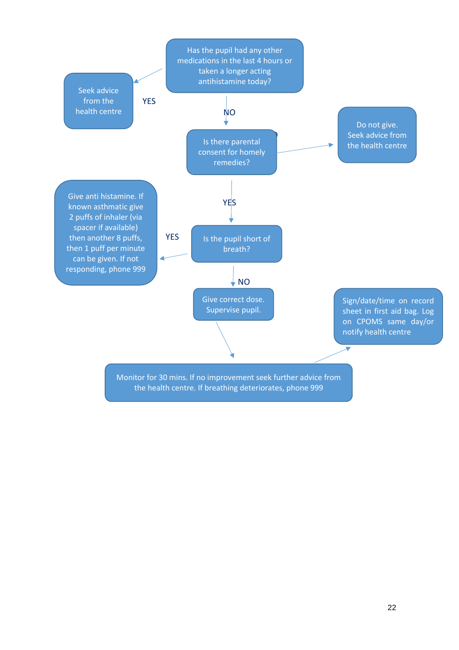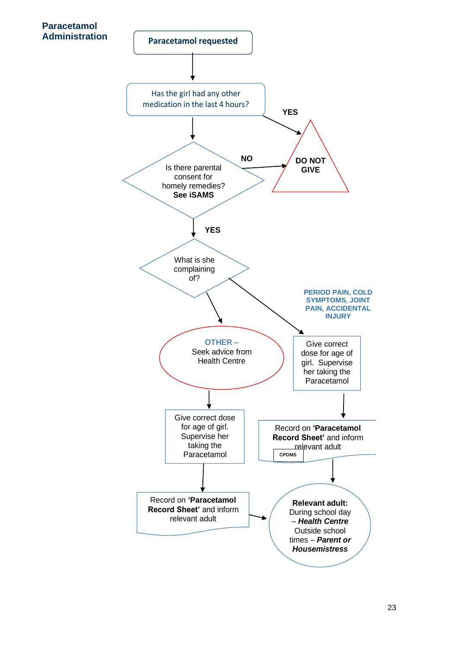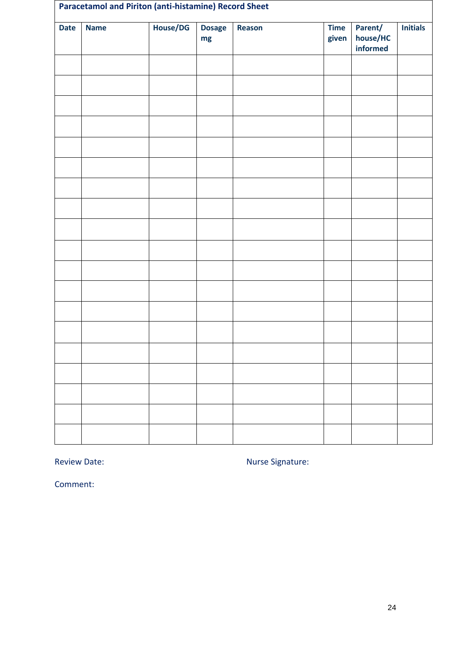| <b>Paracetamol and Piriton (anti-histamine) Record Sheet</b> |             |          |                     |        |                      |                                 |                 |
|--------------------------------------------------------------|-------------|----------|---------------------|--------|----------------------|---------------------------------|-----------------|
| <b>Date</b>                                                  | <b>Name</b> | House/DG | <b>Dosage</b><br>mg | Reason | <b>Time</b><br>given | Parent/<br>house/HC<br>informed | <b>Initials</b> |
|                                                              |             |          |                     |        |                      |                                 |                 |
|                                                              |             |          |                     |        |                      |                                 |                 |
|                                                              |             |          |                     |        |                      |                                 |                 |
|                                                              |             |          |                     |        |                      |                                 |                 |
|                                                              |             |          |                     |        |                      |                                 |                 |
|                                                              |             |          |                     |        |                      |                                 |                 |
|                                                              |             |          |                     |        |                      |                                 |                 |
|                                                              |             |          |                     |        |                      |                                 |                 |
|                                                              |             |          |                     |        |                      |                                 |                 |
|                                                              |             |          |                     |        |                      |                                 |                 |
|                                                              |             |          |                     |        |                      |                                 |                 |
|                                                              |             |          |                     |        |                      |                                 |                 |
|                                                              |             |          |                     |        |                      |                                 |                 |
|                                                              |             |          |                     |        |                      |                                 |                 |
|                                                              |             |          |                     |        |                      |                                 |                 |
|                                                              |             |          |                     |        |                      |                                 |                 |
|                                                              |             |          |                     |        |                      |                                 |                 |
|                                                              |             |          |                     |        |                      |                                 |                 |
|                                                              |             |          |                     |        |                      |                                 |                 |

Review Date: Nurse Signature: Nurse Signature:

Comment: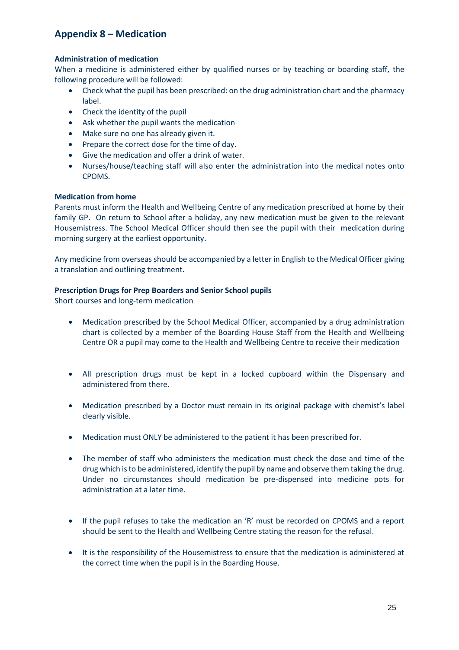## **Appendix 8 – Medication**

### **Administration of medication**

When a medicine is administered either by qualified nurses or by teaching or boarding staff, the following procedure will be followed:

- Check what the pupil has been prescribed: on the drug administration chart and the pharmacy label.
- Check the identity of the pupil
- Ask whether the pupil wants the medication
- Make sure no one has already given it.
- Prepare the correct dose for the time of day.
- Give the medication and offer a drink of water.
- Nurses/house/teaching staff will also enter the administration into the medical notes onto CPOMS.

#### **Medication from home**

Parents must inform the Health and Wellbeing Centre of any medication prescribed at home by their family GP. On return to School after a holiday, any new medication must be given to the relevant Housemistress. The School Medical Officer should then see the pupil with their medication during morning surgery at the earliest opportunity.

Any medicine from overseas should be accompanied by a letter in English to the Medical Officer giving a translation and outlining treatment.

#### **Prescription Drugs for Prep Boarders and Senior School pupils**

Short courses and long-term medication

- Medication prescribed by the School Medical Officer, accompanied by a drug administration chart is collected by a member of the Boarding House Staff from the Health and Wellbeing Centre OR a pupil may come to the Health and Wellbeing Centre to receive their medication
- All prescription drugs must be kept in a locked cupboard within the Dispensary and administered from there.
- Medication prescribed by a Doctor must remain in its original package with chemist's label clearly visible.
- Medication must ONLY be administered to the patient it has been prescribed for.
- The member of staff who administers the medication must check the dose and time of the drug which is to be administered, identify the pupil by name and observe them taking the drug. Under no circumstances should medication be pre-dispensed into medicine pots for administration at a later time.
- If the pupil refuses to take the medication an 'R' must be recorded on CPOMS and a report should be sent to the Health and Wellbeing Centre stating the reason for the refusal.
- It is the responsibility of the Housemistress to ensure that the medication is administered at the correct time when the pupil is in the Boarding House.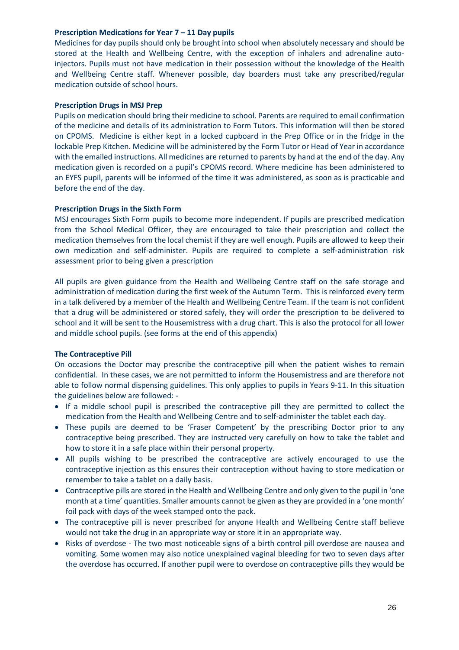#### **Prescription Medications for Year 7 – 11 Day pupils**

Medicines for day pupils should only be brought into school when absolutely necessary and should be stored at the Health and Wellbeing Centre, with the exception of inhalers and adrenaline autoinjectors. Pupils must not have medication in their possession without the knowledge of the Health and Wellbeing Centre staff. Whenever possible, day boarders must take any prescribed/regular medication outside of school hours.

#### **Prescription Drugs in MSJ Prep**

Pupils on medication should bring their medicine to school. Parents are required to email confirmation of the medicine and details of its administration to Form Tutors. This information will then be stored on CPOMS. Medicine is either kept in a locked cupboard in the Prep Office or in the fridge in the lockable Prep Kitchen. Medicine will be administered by the Form Tutor or Head of Year in accordance with the emailed instructions. All medicines are returned to parents by hand at the end of the day. Any medication given is recorded on a pupil's CPOMS record. Where medicine has been administered to an EYFS pupil, parents will be informed of the time it was administered, as soon as is practicable and before the end of the day.

#### **Prescription Drugs in the Sixth Form**

MSJ encourages Sixth Form pupils to become more independent. If pupils are prescribed medication from the School Medical Officer, they are encouraged to take their prescription and collect the medication themselves from the local chemist if they are well enough. Pupils are allowed to keep their own medication and self-administer. Pupils are required to complete a self-administration risk assessment prior to being given a prescription

All pupils are given guidance from the Health and Wellbeing Centre staff on the safe storage and administration of medication during the first week of the Autumn Term. This is reinforced every term in a talk delivered by a member of the Health and Wellbeing Centre Team. If the team is not confident that a drug will be administered or stored safely, they will order the prescription to be delivered to school and it will be sent to the Housemistress with a drug chart. This is also the protocol for all lower and middle school pupils. (see forms at the end of this appendix)

#### **The Contraceptive Pill**

On occasions the Doctor may prescribe the contraceptive pill when the patient wishes to remain confidential. In these cases, we are not permitted to inform the Housemistress and are therefore not able to follow normal dispensing guidelines. This only applies to pupils in Years 9-11. In this situation the guidelines below are followed: -

- If a middle school pupil is prescribed the contraceptive pill they are permitted to collect the medication from the Health and Wellbeing Centre and to self-administer the tablet each day.
- These pupils are deemed to be 'Fraser Competent' by the prescribing Doctor prior to any contraceptive being prescribed. They are instructed very carefully on how to take the tablet and how to store it in a safe place within their personal property.
- All pupils wishing to be prescribed the contraceptive are actively encouraged to use the contraceptive injection as this ensures their contraception without having to store medication or remember to take a tablet on a daily basis.
- Contraceptive pills are stored in the Health and Wellbeing Centre and only given to the pupil in 'one month at a time' quantities. Smaller amounts cannot be given as they are provided in a 'one month' foil pack with days of the week stamped onto the pack.
- The contraceptive pill is never prescribed for anyone Health and Wellbeing Centre staff believe would not take the drug in an appropriate way or store it in an appropriate way.
- Risks of overdose The two most noticeable signs of a birth control pill overdose are nausea and vomiting. Some women may also notice unexplained vaginal bleeding for two to seven days after the overdose has occurred. If another pupil were to overdose on contraceptive pills they would be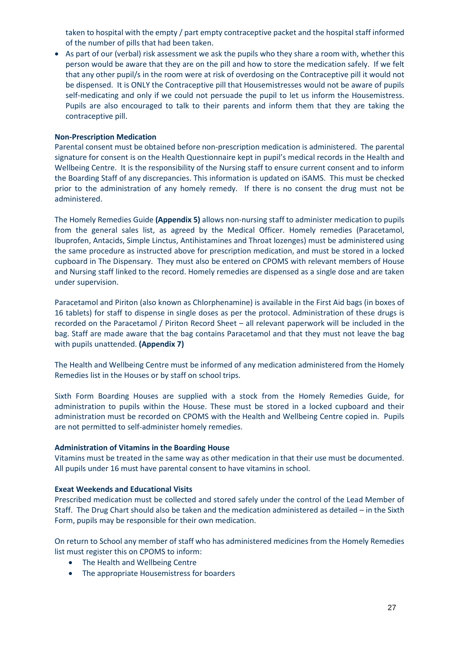taken to hospital with the empty / part empty contraceptive packet and the hospital staff informed of the number of pills that had been taken.

• As part of our (verbal) risk assessment we ask the pupils who they share a room with, whether this person would be aware that they are on the pill and how to store the medication safely. If we felt that any other pupil/s in the room were at risk of overdosing on the Contraceptive pill it would not be dispensed. It is ONLY the Contraceptive pill that Housemistresses would not be aware of pupils self-medicating and only if we could not persuade the pupil to let us inform the Housemistress. Pupils are also encouraged to talk to their parents and inform them that they are taking the contraceptive pill.

#### **Non-Prescription Medication**

Parental consent must be obtained before non-prescription medication is administered. The parental signature for consent is on the Health Questionnaire kept in pupil's medical records in the Health and Wellbeing Centre. It is the responsibility of the Nursing staff to ensure current consent and to inform the Boarding Staff of any discrepancies. This information is updated on iSAMS. This must be checked prior to the administration of any homely remedy. If there is no consent the drug must not be administered.

The Homely Remedies Guide **(Appendix 5)** allows non-nursing staff to administer medication to pupils from the general sales list, as agreed by the Medical Officer. Homely remedies (Paracetamol, Ibuprofen, Antacids, Simple Linctus, Antihistamines and Throat lozenges) must be administered using the same procedure as instructed above for prescription medication, and must be stored in a locked cupboard in The Dispensary. They must also be entered on CPOMS with relevant members of House and Nursing staff linked to the record. Homely remedies are dispensed as a single dose and are taken under supervision.

Paracetamol and Piriton (also known as Chlorphenamine) is available in the First Aid bags (in boxes of 16 tablets) for staff to dispense in single doses as per the protocol. Administration of these drugs is recorded on the Paracetamol / Piriton Record Sheet – all relevant paperwork will be included in the bag. Staff are made aware that the bag contains Paracetamol and that they must not leave the bag with pupils unattended. **(Appendix 7)**

The Health and Wellbeing Centre must be informed of any medication administered from the Homely Remedies list in the Houses or by staff on school trips.

Sixth Form Boarding Houses are supplied with a stock from the Homely Remedies Guide, for administration to pupils within the House. These must be stored in a locked cupboard and their administration must be recorded on CPOMS with the Health and Wellbeing Centre copied in. Pupils are not permitted to self-administer homely remedies.

#### **Administration of Vitamins in the Boarding House**

Vitamins must be treated in the same way as other medication in that their use must be documented. All pupils under 16 must have parental consent to have vitamins in school.

#### **Exeat Weekends and Educational Visits**

Prescribed medication must be collected and stored safely under the control of the Lead Member of Staff. The Drug Chart should also be taken and the medication administered as detailed – in the Sixth Form, pupils may be responsible for their own medication.

On return to School any member of staff who has administered medicines from the Homely Remedies list must register this on CPOMS to inform:

- The Health and Wellbeing Centre
- The appropriate Housemistress for boarders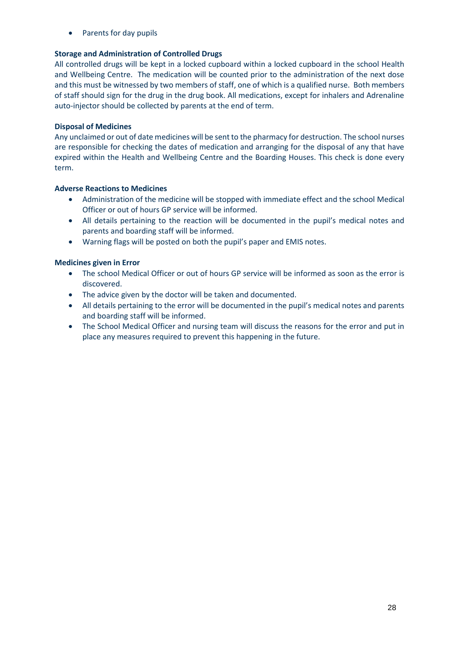• Parents for day pupils

### **Storage and Administration of Controlled Drugs**

All controlled drugs will be kept in a locked cupboard within a locked cupboard in the school Health and Wellbeing Centre. The medication will be counted prior to the administration of the next dose and this must be witnessed by two members of staff, one of which is a qualified nurse. Both members of staff should sign for the drug in the drug book. All medications, except for inhalers and Adrenaline auto-injector should be collected by parents at the end of term.

#### **Disposal of Medicines**

Any unclaimed or out of date medicines will be sent to the pharmacy for destruction. The school nurses are responsible for checking the dates of medication and arranging for the disposal of any that have expired within the Health and Wellbeing Centre and the Boarding Houses. This check is done every term.

### **Adverse Reactions to Medicines**

- Administration of the medicine will be stopped with immediate effect and the school Medical Officer or out of hours GP service will be informed.
- All details pertaining to the reaction will be documented in the pupil's medical notes and parents and boarding staff will be informed.
- Warning flags will be posted on both the pupil's paper and EMIS notes.

### **Medicines given in Error**

- The school Medical Officer or out of hours GP service will be informed as soon as the error is discovered.
- The advice given by the doctor will be taken and documented.
- All details pertaining to the error will be documented in the pupil's medical notes and parents and boarding staff will be informed.
- The School Medical Officer and nursing team will discuss the reasons for the error and put in place any measures required to prevent this happening in the future.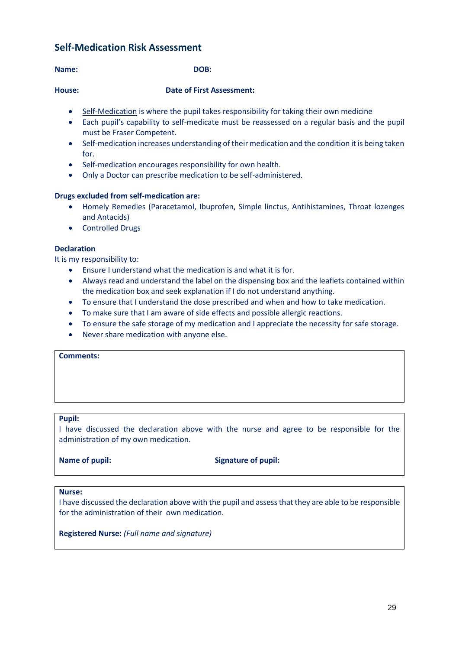## **Self-Medication Risk Assessment**

#### **Name: DOB:**

#### **House: Date of First Assessment:**

- Self-Medication is where the pupil takes responsibility for taking their own medicine
- Each pupil's capability to self-medicate must be reassessed on a regular basis and the pupil must be Fraser Competent.
- Self-medication increases understanding of their medication and the condition it is being taken for.
- Self-medication encourages responsibility for own health.
- Only a Doctor can prescribe medication to be self-administered.

#### **Drugs excluded from self-medication are:**

- Homely Remedies (Paracetamol, Ibuprofen, Simple linctus, Antihistamines, Throat lozenges and Antacids)
- Controlled Drugs

#### **Declaration**

It is my responsibility to:

- Ensure I understand what the medication is and what it is for.
- Always read and understand the label on the dispensing box and the leaflets contained within the medication box and seek explanation if I do not understand anything.
- To ensure that I understand the dose prescribed and when and how to take medication.
- To make sure that I am aware of side effects and possible allergic reactions.
- To ensure the safe storage of my medication and I appreciate the necessity for safe storage.
- Never share medication with anyone else.

#### **Comments:**

#### **Pupil:**

I have discussed the declaration above with the nurse and agree to be responsible for the administration of my own medication.

**Name of pupil:** Signature of pupil:

#### **Nurse:**

I have discussed the declaration above with the pupil and assess that they are able to be responsible for the administration of their own medication.

**Registered Nurse:** *(Full name and signature)*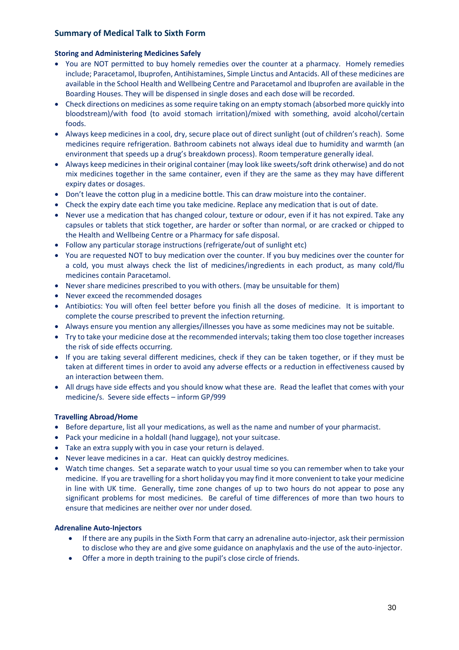### **Summary of Medical Talk to Sixth Form**

#### **Storing and Administering Medicines Safely**

- You are NOT permitted to buy homely remedies over the counter at a pharmacy. Homely remedies include; Paracetamol, Ibuprofen, Antihistamines, Simple Linctus and Antacids. All of these medicines are available in the School Health and Wellbeing Centre and Paracetamol and Ibuprofen are available in the Boarding Houses. They will be dispensed in single doses and each dose will be recorded.
- Check directions on medicines as some require taking on an empty stomach (absorbed more quickly into bloodstream)/with food (to avoid stomach irritation)/mixed with something, avoid alcohol/certain foods.
- Always keep medicines in a cool, dry, secure place out of direct sunlight (out of children's reach). Some medicines require refrigeration. Bathroom cabinets not always ideal due to humidity and warmth (an environment that speeds up a drug's breakdown process). Room temperature generally ideal.
- Always keep medicines in their original container (may look like sweets/soft drink otherwise) and do not mix medicines together in the same container, even if they are the same as they may have different expiry dates or dosages.
- Don't leave the cotton plug in a medicine bottle. This can draw moisture into the container.
- Check the expiry date each time you take medicine. Replace any medication that is out of date.
- Never use a medication that has changed colour, texture or odour, even if it has not expired. Take any capsules or tablets that stick together, are harder or softer than normal, or are cracked or chipped to the Health and Wellbeing Centre or a Pharmacy for safe disposal.
- Follow any particular storage instructions (refrigerate/out of sunlight etc)
- You are requested NOT to buy medication over the counter. If you buy medicines over the counter for a cold, you must always check the list of medicines/ingredients in each product, as many cold/flu medicines contain Paracetamol.
- Never share medicines prescribed to you with others. (may be unsuitable for them)
- Never exceed the recommended dosages
- Antibiotics: You will often feel better before you finish all the doses of medicine. It is important to complete the course prescribed to prevent the infection returning.
- Always ensure you mention any allergies/illnesses you have as some medicines may not be suitable.
- Try to take your medicine dose at the recommended intervals; taking them too close together increases the risk of side effects occurring.
- If you are taking several different medicines, check if they can be taken together, or if they must be taken at different times in order to avoid any adverse effects or a reduction in effectiveness caused by an interaction between them.
- All drugs have side effects and you should know what these are. Read the leaflet that comes with your medicine/s. Severe side effects – inform GP/999

#### **Travelling Abroad/Home**

- Before departure, list all your medications, as well as the name and number of your pharmacist.
- Pack your medicine in a holdall (hand luggage), not your suitcase.
- Take an extra supply with you in case your return is delayed.
- Never leave medicines in a car. Heat can quickly destroy medicines.
- Watch time changes. Set a separate watch to your usual time so you can remember when to take your medicine. If you are travelling for a short holiday you may find it more convenient to take your medicine in line with UK time. Generally, time zone changes of up to two hours do not appear to pose any significant problems for most medicines. Be careful of time differences of more than two hours to ensure that medicines are neither over nor under dosed.

#### **Adrenaline Auto-Injectors**

- If there are any pupils in the Sixth Form that carry an adrenaline auto-injector, ask their permission to disclose who they are and give some guidance on anaphylaxis and the use of the auto-injector.
- Offer a more in depth training to the pupil's close circle of friends.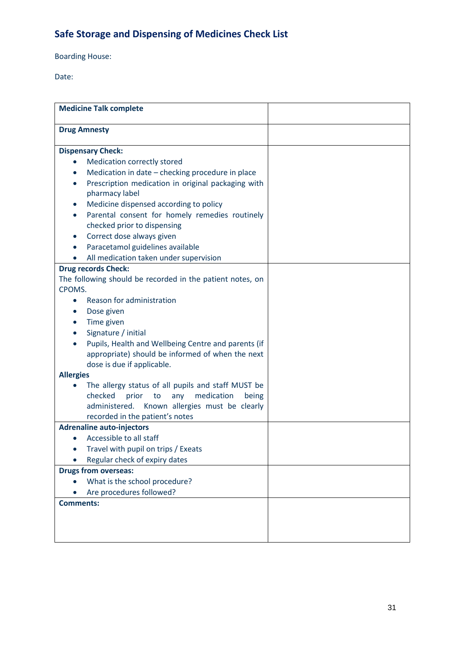# **Safe Storage and Dispensing of Medicines Check List**

Boarding House:

Date:

|                                     | <b>Medicine Talk complete</b>                                                                     |  |
|-------------------------------------|---------------------------------------------------------------------------------------------------|--|
| <b>Drug Amnesty</b>                 |                                                                                                   |  |
|                                     | <b>Dispensary Check:</b>                                                                          |  |
|                                     | Medication correctly stored                                                                       |  |
|                                     | Medication in date - checking procedure in place                                                  |  |
|                                     | Prescription medication in original packaging with                                                |  |
|                                     | pharmacy label                                                                                    |  |
| $\bullet$                           | Medicine dispensed according to policy                                                            |  |
| $\bullet$                           | Parental consent for homely remedies routinely                                                    |  |
|                                     | checked prior to dispensing                                                                       |  |
|                                     | Correct dose always given                                                                         |  |
|                                     | Paracetamol guidelines available                                                                  |  |
|                                     | All medication taken under supervision                                                            |  |
|                                     | <b>Drug records Check:</b>                                                                        |  |
|                                     | The following should be recorded in the patient notes, on                                         |  |
| CPOMS.                              |                                                                                                   |  |
| $\bullet$                           | Reason for administration                                                                         |  |
|                                     | Dose given                                                                                        |  |
|                                     | Time given                                                                                        |  |
|                                     | Signature / initial                                                                               |  |
|                                     | Pupils, Health and Wellbeing Centre and parents (if                                               |  |
|                                     | appropriate) should be informed of when the next                                                  |  |
|                                     | dose is due if applicable.                                                                        |  |
| <b>Allergies</b>                    |                                                                                                   |  |
|                                     | The allergy status of all pupils and staff MUST be<br>checked<br>any<br>medication<br>prior<br>to |  |
|                                     | being<br>administered.<br>Known allergies must be clearly                                         |  |
|                                     | recorded in the patient's notes                                                                   |  |
|                                     | <b>Adrenaline auto-injectors</b>                                                                  |  |
|                                     | Accessible to all staff                                                                           |  |
| Travel with pupil on trips / Exeats |                                                                                                   |  |
| Regular check of expiry dates       |                                                                                                   |  |
| <b>Drugs from overseas:</b>         |                                                                                                   |  |
| What is the school procedure?       |                                                                                                   |  |
|                                     | Are procedures followed?                                                                          |  |
| <b>Comments:</b>                    |                                                                                                   |  |
|                                     |                                                                                                   |  |
|                                     |                                                                                                   |  |
|                                     |                                                                                                   |  |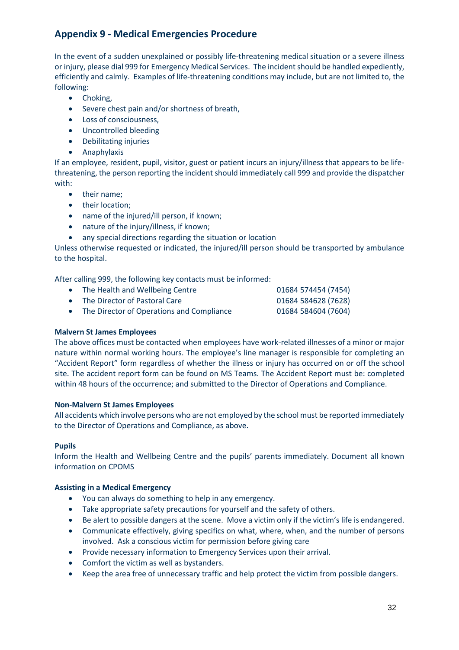## **Appendix 9 - Medical Emergencies Procedure**

In the event of a sudden unexplained or possibly life-threatening medical situation or a severe illness or injury, please dial 999 for Emergency Medical Services. The incident should be handled expediently, efficiently and calmly. Examples of life-threatening conditions may include, but are not limited to, the following:

- Choking,
- Severe chest pain and/or shortness of breath,
- Loss of consciousness,
- Uncontrolled bleeding
- Debilitating injuries
- Anaphylaxis

If an employee, resident, pupil, visitor, guest or patient incurs an injury/illness that appears to be lifethreatening, the person reporting the incident should immediately call 999 and provide the dispatcher with:

- their name;
- their location;
- name of the injured/ill person, if known;
- nature of the injury/illness, if known;
- any special directions regarding the situation or location

Unless otherwise requested or indicated, the injured/ill person should be transported by ambulance to the hospital.

After calling 999, the following key contacts must be informed:

| • The Health and Wellbeing Centre           | 01684 574454 (7454) |
|---------------------------------------------|---------------------|
| • The Director of Pastoral Care             | 01684 584628 (7628) |
| • The Director of Operations and Compliance | 01684 584604 (7604) |

#### **Malvern St James Employees**

The above offices must be contacted when employees have work-related illnesses of a minor or major nature within normal working hours. The employee's line manager is responsible for completing an "Accident Report" form regardless of whether the illness or injury has occurred on or off the school site. The accident report form can be found on MS Teams. The Accident Report must be: completed within 48 hours of the occurrence; and submitted to the Director of Operations and Compliance.

#### **Non-Malvern St James Employees**

All accidents which involve persons who are not employed by the school must be reported immediately to the Director of Operations and Compliance, as above.

#### **Pupils**

Inform the Health and Wellbeing Centre and the pupils' parents immediately. Document all known information on CPOMS

#### **Assisting in a Medical Emergency**

- You can always do something to help in any emergency.
- Take appropriate safety precautions for yourself and the safety of others.
- Be alert to possible dangers at the scene. Move a victim only if the victim's life is endangered.
- Communicate effectively, giving specifics on what, where, when, and the number of persons involved. Ask a conscious victim for permission before giving care
- Provide necessary information to Emergency Services upon their arrival.
- Comfort the victim as well as bystanders.
- Keep the area free of unnecessary traffic and help protect the victim from possible dangers.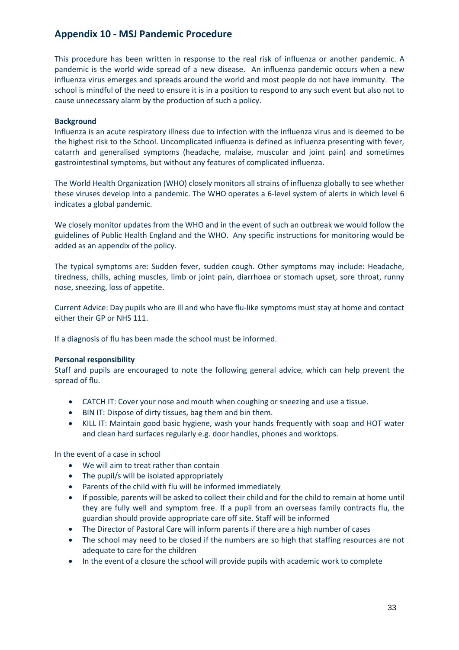## **Appendix 10 - MSJ Pandemic Procedure**

This procedure has been written in response to the real risk of influenza or another pandemic. A pandemic is the world wide spread of a new disease. An influenza pandemic occurs when a new influenza virus emerges and spreads around the world and most people do not have immunity. The school is mindful of the need to ensure it is in a position to respond to any such event but also not to cause unnecessary alarm by the production of such a policy.

### **Background**

Influenza is an acute respiratory illness due to infection with the influenza virus and is deemed to be the highest risk to the School. Uncomplicated influenza is defined as influenza presenting with fever, catarrh and generalised symptoms (headache, malaise, muscular and joint pain) and sometimes gastrointestinal symptoms, but without any features of complicated influenza.

The World Health Organization (WHO) closely monitors all strains of influenza globally to see whether these viruses develop into a pandemic. The WHO operates a 6-level system of alerts in which level 6 indicates a global pandemic.

We closely monitor updates from the WHO and in the event of such an outbreak we would follow the guidelines of Public Health England and the WHO. Any specific instructions for monitoring would be added as an appendix of the policy.

The typical symptoms are: Sudden fever, sudden cough. Other symptoms may include: Headache, tiredness, chills, aching muscles, limb or joint pain, diarrhoea or stomach upset, sore throat, runny nose, sneezing, loss of appetite.

Current Advice: Day pupils who are ill and who have flu-like symptoms must stay at home and contact either their GP or NHS 111.

If a diagnosis of flu has been made the school must be informed.

#### **Personal responsibility**

Staff and pupils are encouraged to note the following general advice, which can help prevent the spread of flu.

- CATCH IT: Cover your nose and mouth when coughing or sneezing and use a tissue.
- BIN IT: Dispose of dirty tissues, bag them and bin them.
- KILL IT: Maintain good basic hygiene, wash your hands frequently with soap and HOT water and clean hard surfaces regularly e.g. door handles, phones and worktops.

In the event of a case in school

- We will aim to treat rather than contain
- The pupil/s will be isolated appropriately
- Parents of the child with flu will be informed immediately
- If possible, parents will be asked to collect their child and for the child to remain at home until they are fully well and symptom free. If a pupil from an overseas family contracts flu, the guardian should provide appropriate care off site. Staff will be informed
- The Director of Pastoral Care will inform parents if there are a high number of cases
- The school may need to be closed if the numbers are so high that staffing resources are not adequate to care for the children
- In the event of a closure the school will provide pupils with academic work to complete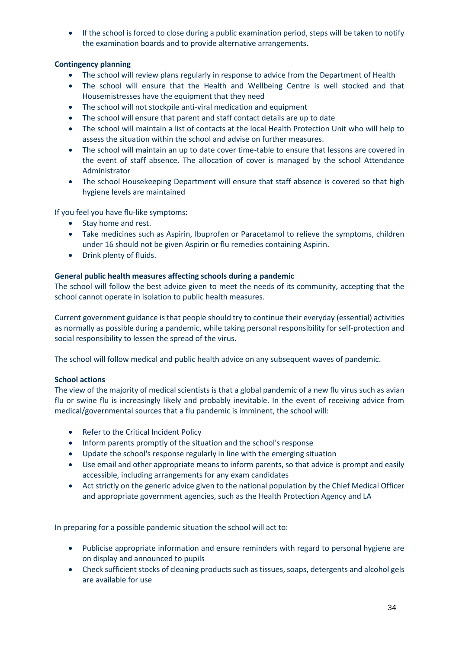• If the school is forced to close during a public examination period, steps will be taken to notify the examination boards and to provide alternative arrangements.

### **Contingency planning**

- The school will review plans regularly in response to advice from the Department of Health
- The school will ensure that the Health and Wellbeing Centre is well stocked and that Housemistresses have the equipment that they need
- The school will not stockpile anti-viral medication and equipment
- The school will ensure that parent and staff contact details are up to date
- The school will maintain a list of contacts at the local Health Protection Unit who will help to assess the situation within the school and advise on further measures.
- The school will maintain an up to date cover time-table to ensure that lessons are covered in the event of staff absence. The allocation of cover is managed by the school Attendance Administrator
- The school Housekeeping Department will ensure that staff absence is covered so that high hygiene levels are maintained

If you feel you have flu-like symptoms:

- Stay home and rest.
- Take medicines such as Aspirin, Ibuprofen or Paracetamol to relieve the symptoms, children under 16 should not be given Aspirin or flu remedies containing Aspirin.
- Drink plenty of fluids.

### **General public health measures affecting schools during a pandemic**

The school will follow the best advice given to meet the needs of its community, accepting that the school cannot operate in isolation to public health measures.

Current government guidance is that people should try to continue their everyday (essential) activities as normally as possible during a pandemic, while taking personal responsibility for self-protection and social responsibility to lessen the spread of the virus.

The school will follow medical and public health advice on any subsequent waves of pandemic.

### **School actions**

The view of the majority of medical scientists is that a global pandemic of a new flu virus such as avian flu or swine flu is increasingly likely and probably inevitable. In the event of receiving advice from medical/governmental sources that a flu pandemic is imminent, the school will:

- Refer to the Critical Incident Policy
- Inform parents promptly of the situation and the school's response
- Update the school's response regularly in line with the emerging situation
- Use email and other appropriate means to inform parents, so that advice is prompt and easily accessible, including arrangements for any exam candidates
- Act strictly on the generic advice given to the national population by the Chief Medical Officer and appropriate government agencies, such as the Health Protection Agency and LA

In preparing for a possible pandemic situation the school will act to:

- Publicise appropriate information and ensure reminders with regard to personal hygiene are on display and announced to pupils
- Check sufficient stocks of cleaning products such as tissues, soaps, detergents and alcohol gels are available for use